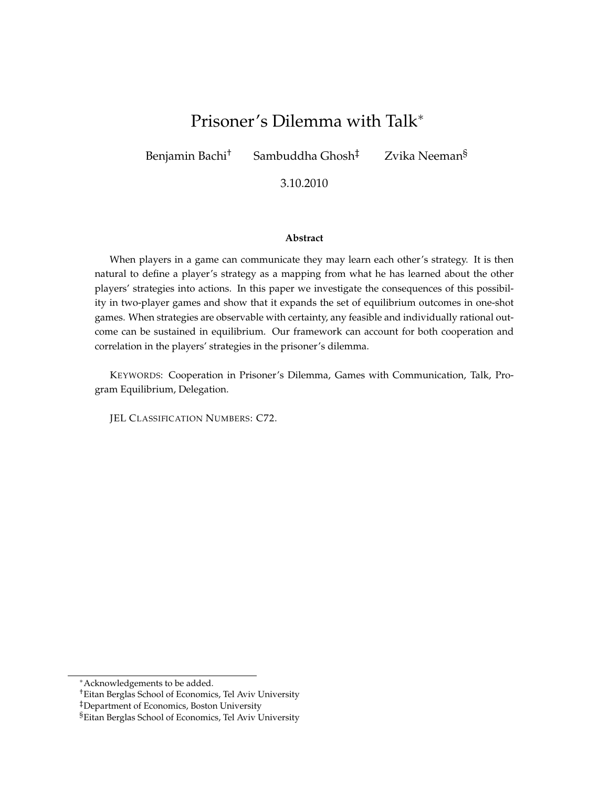# Prisoner's Dilemma with Talk∗

Benjamin Bachi<sup>†</sup> Sambuddha Ghosh<sup>‡</sup> Zvika Neeman<sup>§</sup>

3.10.2010

#### **Abstract**

When players in a game can communicate they may learn each other's strategy. It is then natural to define a player's strategy as a mapping from what he has learned about the other players' strategies into actions. In this paper we investigate the consequences of this possibility in two-player games and show that it expands the set of equilibrium outcomes in one-shot games. When strategies are observable with certainty, any feasible and individually rational outcome can be sustained in equilibrium. Our framework can account for both cooperation and correlation in the players' strategies in the prisoner's dilemma.

KEYWORDS: Cooperation in Prisoner's Dilemma, Games with Communication, Talk, Program Equilibrium, Delegation.

JEL CLASSIFICATION NUMBERS: C72.

<sup>∗</sup>Acknowledgements to be added.

<sup>†</sup>Eitan Berglas School of Economics, Tel Aviv University

<sup>‡</sup>Department of Economics, Boston University

<sup>§</sup>Eitan Berglas School of Economics, Tel Aviv University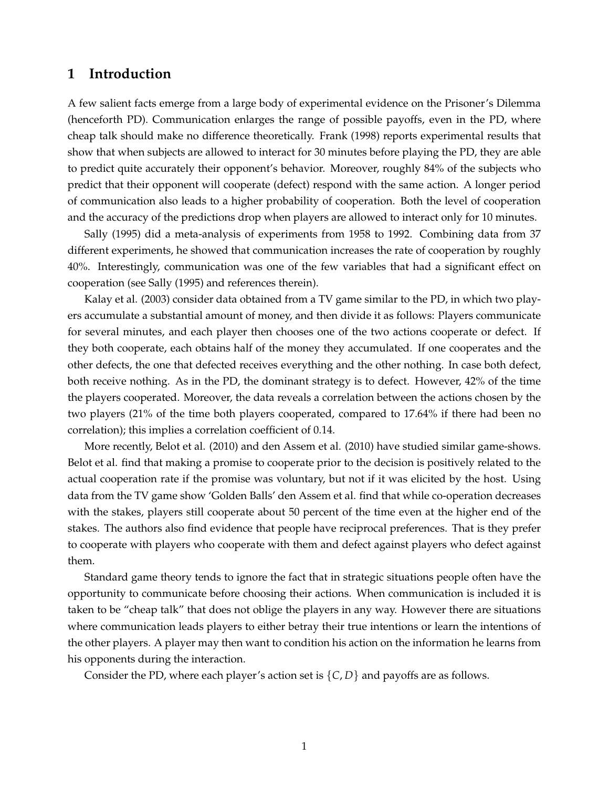# **1 Introduction**

A few salient facts emerge from a large body of experimental evidence on the Prisoner's Dilemma (henceforth PD). Communication enlarges the range of possible payoffs, even in the PD, where cheap talk should make no difference theoretically. Frank (1998) reports experimental results that show that when subjects are allowed to interact for 30 minutes before playing the PD, they are able to predict quite accurately their opponent's behavior. Moreover, roughly 84% of the subjects who predict that their opponent will cooperate (defect) respond with the same action. A longer period of communication also leads to a higher probability of cooperation. Both the level of cooperation and the accuracy of the predictions drop when players are allowed to interact only for 10 minutes.

Sally (1995) did a meta-analysis of experiments from 1958 to 1992. Combining data from 37 different experiments, he showed that communication increases the rate of cooperation by roughly 40%. Interestingly, communication was one of the few variables that had a significant effect on cooperation (see Sally (1995) and references therein).

Kalay et al. (2003) consider data obtained from a TV game similar to the PD, in which two players accumulate a substantial amount of money, and then divide it as follows: Players communicate for several minutes, and each player then chooses one of the two actions cooperate or defect. If they both cooperate, each obtains half of the money they accumulated. If one cooperates and the other defects, the one that defected receives everything and the other nothing. In case both defect, both receive nothing. As in the PD, the dominant strategy is to defect. However, 42% of the time the players cooperated. Moreover, the data reveals a correlation between the actions chosen by the two players (21% of the time both players cooperated, compared to 17.64% if there had been no correlation); this implies a correlation coefficient of 0.14.

More recently, Belot et al. (2010) and den Assem et al. (2010) have studied similar game-shows. Belot et al. find that making a promise to cooperate prior to the decision is positively related to the actual cooperation rate if the promise was voluntary, but not if it was elicited by the host. Using data from the TV game show 'Golden Balls' den Assem et al. find that while co-operation decreases with the stakes, players still cooperate about 50 percent of the time even at the higher end of the stakes. The authors also find evidence that people have reciprocal preferences. That is they prefer to cooperate with players who cooperate with them and defect against players who defect against them.

Standard game theory tends to ignore the fact that in strategic situations people often have the opportunity to communicate before choosing their actions. When communication is included it is taken to be "cheap talk" that does not oblige the players in any way. However there are situations where communication leads players to either betray their true intentions or learn the intentions of the other players. A player may then want to condition his action on the information he learns from his opponents during the interaction.

Consider the PD, where each player's action set is {*C*, *D*} and payoffs are as follows.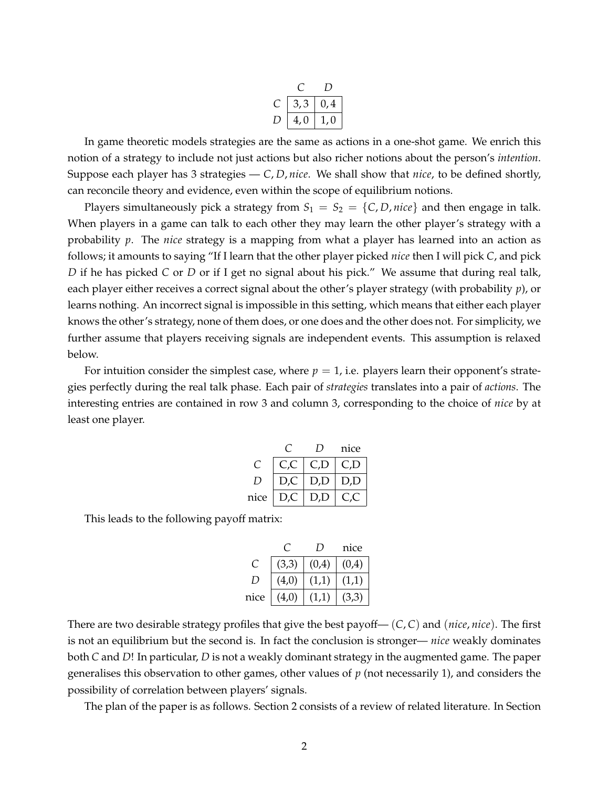| 3,3 | 0,4 |
|-----|-----|
| 4,0 | U   |

In game theoretic models strategies are the same as actions in a one-shot game. We enrich this notion of a strategy to include not just actions but also richer notions about the person's *intention*. Suppose each player has 3 strategies — *C*, *D*, *nice*. We shall show that *nice*, to be defined shortly, can reconcile theory and evidence, even within the scope of equilibrium notions.

Players simultaneously pick a strategy from  $S_1 = S_2 = \{C, D, nice\}$  and then engage in talk. When players in a game can talk to each other they may learn the other player's strategy with a probability *p*. The *nice* strategy is a mapping from what a player has learned into an action as follows; it amounts to saying "If I learn that the other player picked *nice* then I will pick *C*, and pick *D* if he has picked *C* or *D* or if I get no signal about his pick." We assume that during real talk, each player either receives a correct signal about the other's player strategy (with probability *p*), or learns nothing. An incorrect signal is impossible in this setting, which means that either each player knows the other's strategy, none of them does, or one does and the other does not. For simplicity, we further assume that players receiving signals are independent events. This assumption is relaxed below.

For intuition consider the simplest case, where  $p = 1$ , i.e. players learn their opponent's strategies perfectly during the real talk phase. Each pair of *strategies* translates into a pair of *actions*. The interesting entries are contained in row 3 and column 3, corresponding to the choice of *nice* by at least one player.

|      |            | , ו | nice |
|------|------------|-----|------|
| C    | $C\subset$ | C.D |      |
| 1)   | D,C        | D,D | D,D  |
| nice | D,C        | D,D | l (  |

This leads to the following payoff matrix:

|      |       | , ו   | nice  |
|------|-------|-------|-------|
| €    | (3,3) | (0,4) | (0,4) |
| 1)   | (4,0) | (1,1) | (1,1) |
| nice | (4,0) | (1,1) | (3,3) |

There are two desirable strategy profiles that give the best payoff— (*C*, *C*) and (*nice*, *nice*). The first is not an equilibrium but the second is. In fact the conclusion is stronger— *nice* weakly dominates both *C* and *D*! In particular, *D* is not a weakly dominant strategy in the augmented game. The paper generalises this observation to other games, other values of *p* (not necessarily 1), and considers the possibility of correlation between players' signals.

The plan of the paper is as follows. Section 2 consists of a review of related literature. In Section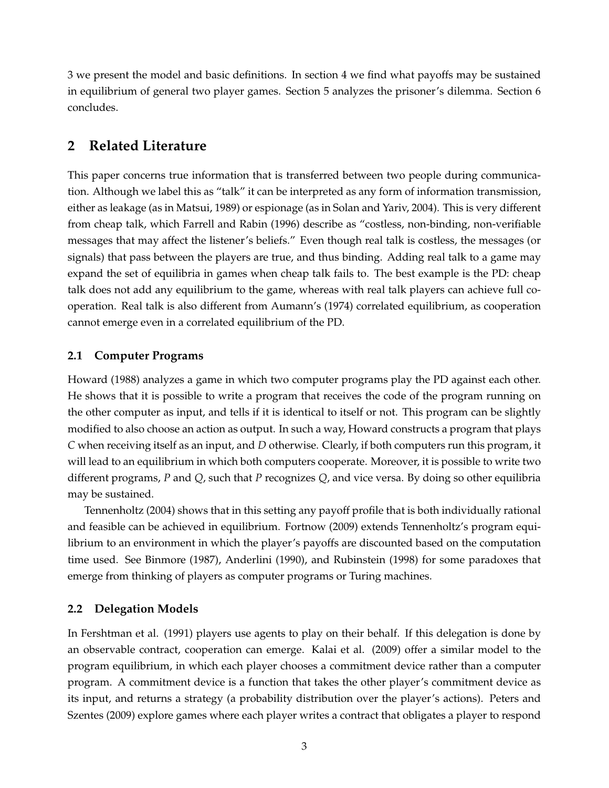3 we present the model and basic definitions. In section 4 we find what payoffs may be sustained in equilibrium of general two player games. Section 5 analyzes the prisoner's dilemma. Section 6 concludes.

# **2 Related Literature**

This paper concerns true information that is transferred between two people during communication. Although we label this as "talk" it can be interpreted as any form of information transmission, either as leakage (as in Matsui, 1989) or espionage (as in Solan and Yariv, 2004). This is very different from cheap talk, which Farrell and Rabin (1996) describe as "costless, non-binding, non-verifiable messages that may affect the listener's beliefs." Even though real talk is costless, the messages (or signals) that pass between the players are true, and thus binding. Adding real talk to a game may expand the set of equilibria in games when cheap talk fails to. The best example is the PD: cheap talk does not add any equilibrium to the game, whereas with real talk players can achieve full cooperation. Real talk is also different from Aumann's (1974) correlated equilibrium, as cooperation cannot emerge even in a correlated equilibrium of the PD.

### **2.1 Computer Programs**

Howard (1988) analyzes a game in which two computer programs play the PD against each other. He shows that it is possible to write a program that receives the code of the program running on the other computer as input, and tells if it is identical to itself or not. This program can be slightly modified to also choose an action as output. In such a way, Howard constructs a program that plays *C* when receiving itself as an input, and *D* otherwise. Clearly, if both computers run this program, it will lead to an equilibrium in which both computers cooperate. Moreover, it is possible to write two different programs, *P* and *Q*, such that *P* recognizes *Q*, and vice versa. By doing so other equilibria may be sustained.

Tennenholtz (2004) shows that in this setting any payoff profile that is both individually rational and feasible can be achieved in equilibrium. Fortnow (2009) extends Tennenholtz's program equilibrium to an environment in which the player's payoffs are discounted based on the computation time used. See Binmore (1987), Anderlini (1990), and Rubinstein (1998) for some paradoxes that emerge from thinking of players as computer programs or Turing machines.

#### **2.2 Delegation Models**

In Fershtman et al. (1991) players use agents to play on their behalf. If this delegation is done by an observable contract, cooperation can emerge. Kalai et al. (2009) offer a similar model to the program equilibrium, in which each player chooses a commitment device rather than a computer program. A commitment device is a function that takes the other player's commitment device as its input, and returns a strategy (a probability distribution over the player's actions). Peters and Szentes (2009) explore games where each player writes a contract that obligates a player to respond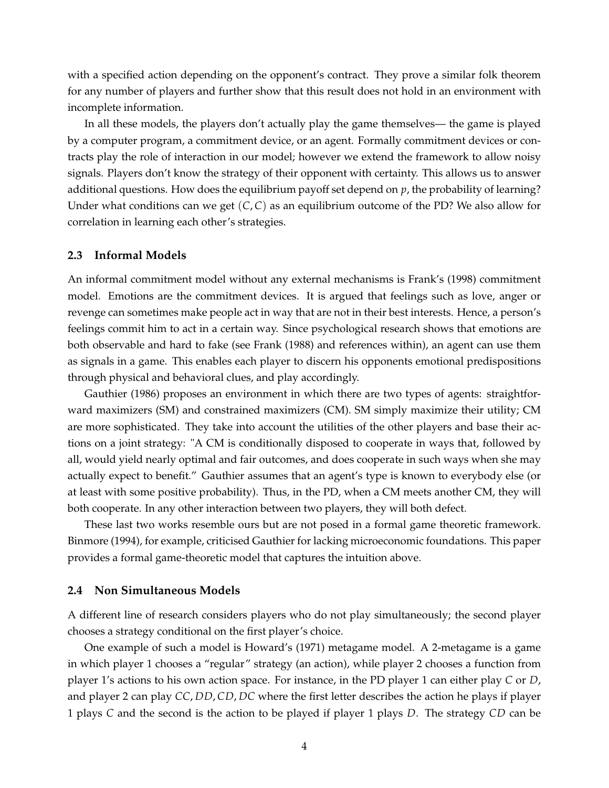with a specified action depending on the opponent's contract. They prove a similar folk theorem for any number of players and further show that this result does not hold in an environment with incomplete information.

In all these models, the players don't actually play the game themselves— the game is played by a computer program, a commitment device, or an agent. Formally commitment devices or contracts play the role of interaction in our model; however we extend the framework to allow noisy signals. Players don't know the strategy of their opponent with certainty. This allows us to answer additional questions. How does the equilibrium payoff set depend on *p*, the probability of learning? Under what conditions can we get (*C*, *C*) as an equilibrium outcome of the PD? We also allow for correlation in learning each other's strategies.

#### **2.3 Informal Models**

An informal commitment model without any external mechanisms is Frank's (1998) commitment model. Emotions are the commitment devices. It is argued that feelings such as love, anger or revenge can sometimes make people act in way that are not in their best interests. Hence, a person's feelings commit him to act in a certain way. Since psychological research shows that emotions are both observable and hard to fake (see Frank (1988) and references within), an agent can use them as signals in a game. This enables each player to discern his opponents emotional predispositions through physical and behavioral clues, and play accordingly.

Gauthier (1986) proposes an environment in which there are two types of agents: straightforward maximizers (SM) and constrained maximizers (CM). SM simply maximize their utility; CM are more sophisticated. They take into account the utilities of the other players and base their actions on a joint strategy: "A CM is conditionally disposed to cooperate in ways that, followed by all, would yield nearly optimal and fair outcomes, and does cooperate in such ways when she may actually expect to benefit." Gauthier assumes that an agent's type is known to everybody else (or at least with some positive probability). Thus, in the PD, when a CM meets another CM, they will both cooperate. In any other interaction between two players, they will both defect.

These last two works resemble ours but are not posed in a formal game theoretic framework. Binmore (1994), for example, criticised Gauthier for lacking microeconomic foundations. This paper provides a formal game-theoretic model that captures the intuition above.

#### **2.4 Non Simultaneous Models**

A different line of research considers players who do not play simultaneously; the second player chooses a strategy conditional on the first player's choice.

One example of such a model is Howard's (1971) metagame model. A 2-metagame is a game in which player 1 chooses a "regular" strategy (an action), while player 2 chooses a function from player 1's actions to his own action space. For instance, in the PD player 1 can either play *C* or *D*, and player 2 can play *CC*, *DD*, *CD*, *DC* where the first letter describes the action he plays if player 1 plays *C* and the second is the action to be played if player 1 plays *D*. The strategy *CD* can be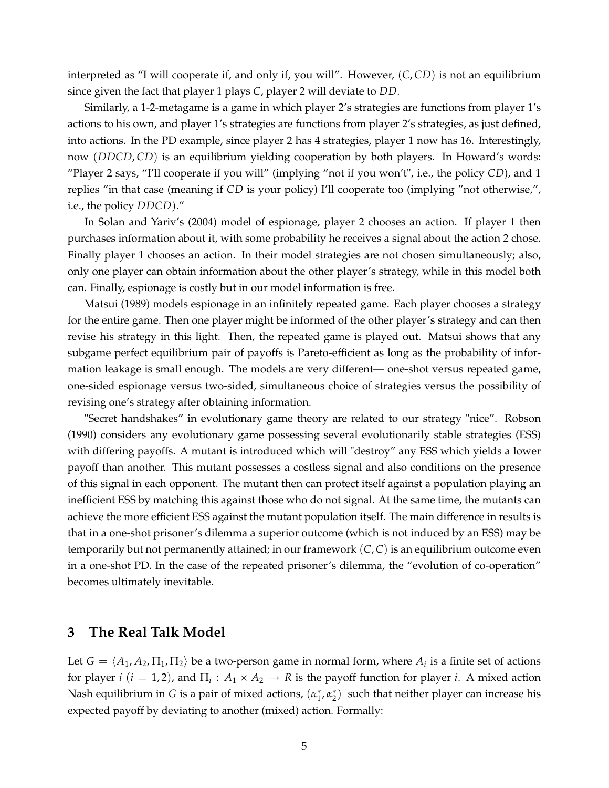interpreted as "I will cooperate if, and only if, you will". However, (*C*, *CD*) is not an equilibrium since given the fact that player 1 plays *C*, player 2 will deviate to *DD*.

Similarly, a 1-2-metagame is a game in which player 2's strategies are functions from player 1's actions to his own, and player 1's strategies are functions from player 2's strategies, as just defined, into actions. In the PD example, since player 2 has 4 strategies, player 1 now has 16. Interestingly, now (*DDCD*, *CD*) is an equilibrium yielding cooperation by both players. In Howard's words: "Player 2 says, "I'll cooperate if you will" (implying "not if you won't", i.e., the policy *CD*), and 1 replies "in that case (meaning if *CD* is your policy) I'll cooperate too (implying "not otherwise,", i.e., the policy *DDCD*)."

In Solan and Yariv's (2004) model of espionage, player 2 chooses an action. If player 1 then purchases information about it, with some probability he receives a signal about the action 2 chose. Finally player 1 chooses an action. In their model strategies are not chosen simultaneously; also, only one player can obtain information about the other player's strategy, while in this model both can. Finally, espionage is costly but in our model information is free.

Matsui (1989) models espionage in an infinitely repeated game. Each player chooses a strategy for the entire game. Then one player might be informed of the other player's strategy and can then revise his strategy in this light. Then, the repeated game is played out. Matsui shows that any subgame perfect equilibrium pair of payoffs is Pareto-efficient as long as the probability of information leakage is small enough. The models are very different— one-shot versus repeated game, one-sided espionage versus two-sided, simultaneous choice of strategies versus the possibility of revising one's strategy after obtaining information.

"Secret handshakes" in evolutionary game theory are related to our strategy "nice". Robson (1990) considers any evolutionary game possessing several evolutionarily stable strategies (ESS) with differing payoffs. A mutant is introduced which will "destroy" any ESS which yields a lower payoff than another. This mutant possesses a costless signal and also conditions on the presence of this signal in each opponent. The mutant then can protect itself against a population playing an inefficient ESS by matching this against those who do not signal. At the same time, the mutants can achieve the more efficient ESS against the mutant population itself. The main difference in results is that in a one-shot prisoner's dilemma a superior outcome (which is not induced by an ESS) may be temporarily but not permanently attained; in our framework (*C*, *C*) is an equilibrium outcome even in a one-shot PD. In the case of the repeated prisoner's dilemma, the "evolution of co-operation" becomes ultimately inevitable.

### **3 The Real Talk Model**

Let  $G = \langle A_1, A_2, \Pi_1, \Pi_2 \rangle$  be a two-person game in normal form, where  $A_i$  is a finite set of actions for player *i* ( $i = 1, 2$ ), and  $\Pi_i : A_1 \times A_2 \to R$  is the payoff function for player *i*. A mixed action Nash equilibrium in *G* is a pair of mixed actions,  $(α<sub>1</sub><sup>*</sup>, α<sub>2</sub><sup>*</sup>)$  such that neither player can increase his expected payoff by deviating to another (mixed) action. Formally: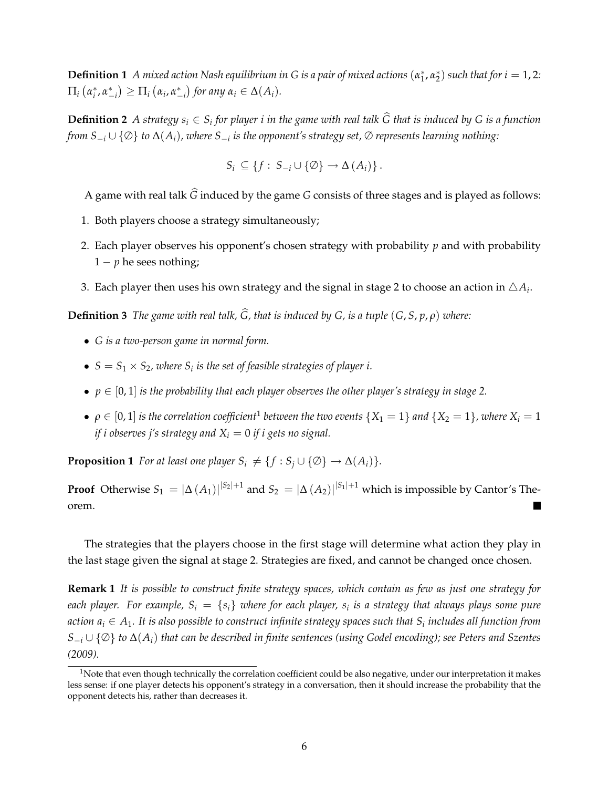**Definition 1** A mixed action Nash equilibrium in G is a pair of mixed actions  $(\alpha_1^*, \alpha_2^*)$  such that for  $i = 1, 2$ :  $\Pi_i$  (α<sup>\*</sup><sub>*i*</sub>, α<sup>\*</sup><sub>-*i*</sub>  $\left(\alpha_i, \alpha_{-i}^*\right)$  $\int$  *for any*  $\alpha_i \in \Delta(A_i)$ .

**Definition 2** *A strategy*  $s_i \in S_i$  *for player i in the game with real talk*  $\hat{G}$  *that is induced by*  $G$  *is a function from S*−*<sup>i</sup>* ∪ {∅} *to* ∆(*Ai*)*, where S*−*<sup>i</sup> is the opponent's strategy set,* ∅ *represents learning nothing:*

$$
S_i \subseteq \{f: S_{-i} \cup \{\emptyset\} \to \Delta(A_i)\}.
$$

A game with real talk  $\widehat{G}$  induced by the game  $G$  consists of three stages and is played as follows:

- 1. Both players choose a strategy simultaneously;
- 2. Each player observes his opponent's chosen strategy with probability *p* and with probability  $1 - p$  he sees nothing;
- 3. Each player then uses his own strategy and the signal in stage 2 to choose an action in  $\triangle A_i$ .

**Definition 3** *The game with real talk,*  $\widehat{G}$ , that is induced by  $G$ , is a tuple  $(G, S, p, \rho)$  where:

- *G is a two-person game in normal form.*
- $S = S_1 \times S_2$ , where  $S_i$  is the set of feasible strategies of player i.
- $p \in [0, 1]$  *is the probability that each player observes the other player's strategy in stage 2.*
- $\rho \in [0,1]$  *is the correlation coefficient*<sup>1</sup> *between the two events*  $\{X_1 = 1\}$  *and*  $\{X_2 = 1\}$ *, where*  $X_i = 1$ *if i observes j's strategy and*  $X_i = 0$  *if i gets no signal.*

**Proposition 1** *For at least one player*  $S_i \neq \{f : S_j \cup \{\emptyset\} \rightarrow \Delta(A_i)\}.$ 

**Proof** Otherwise  $S_1 = |\Delta(A_1)|^{|S_2|+1}$  and  $S_2 = |\Delta(A_2)|^{|S_1|+1}$  which is impossible by Cantor's Theorem.  $\blacksquare$ 

The strategies that the players choose in the first stage will determine what action they play in the last stage given the signal at stage 2. Strategies are fixed, and cannot be changed once chosen.

**Remark 1** *It is possible to construct finite strategy spaces, which contain as few as just one strategy for each player. For example,*  $S_i = \{s_i\}$  *where for each player,*  $s_i$  *is a strategy that always plays some pure action*  $a_i \in A_1$ . It is also possible to construct infinite strategy spaces such that  $S_i$  includes all function from *S*−*<sup>i</sup>* ∪ {∅} *to* ∆(*Ai*) *that can be described in finite sentences (using Godel encoding); see Peters and Szentes (2009).*

 $1$ Note that even though technically the correlation coefficient could be also negative, under our interpretation it makes less sense: if one player detects his opponent's strategy in a conversation, then it should increase the probability that the opponent detects his, rather than decreases it.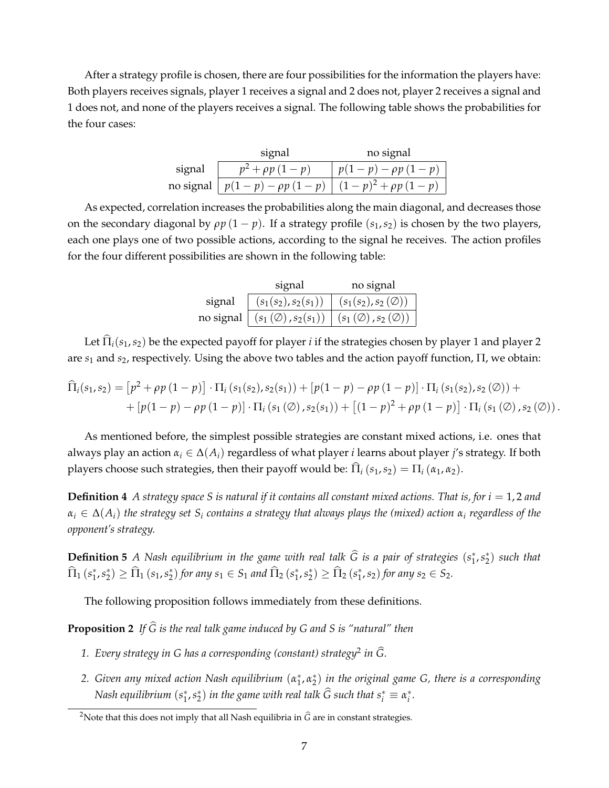After a strategy profile is chosen, there are four possibilities for the information the players have: Both players receives signals, player 1 receives a signal and 2 does not, player 2 receives a signal and 1 does not, and none of the players receives a signal. The following table shows the probabilities for the four cases:

|           | signal                   | no signal              |
|-----------|--------------------------|------------------------|
| signal    | $\rho p$ $(1$<br>$- p$ ) | $(-p) - \rho p (1 -$   |
| no signal | $p(1-p) - \rho p(1-p)$   | $(1-p)^2 + \rho p$ (1) |

As expected, correlation increases the probabilities along the main diagonal, and decreases those on the secondary diagonal by  $\rho p (1 - p)$ . If a strategy profile  $(s_1, s_2)$  is chosen by the two players, each one plays one of two possible actions, according to the signal he receives. The action profiles for the four different possibilities are shown in the following table:

|        | signal                                   | no signal                          |
|--------|------------------------------------------|------------------------------------|
| signal | $(s_1(s_2), s_2(s_1))$                   | $(s_1(s_2), s_2(\emptyset))$       |
|        | no signal $ (s_1(\emptyset), s_2(s_1)) $ | $(s_1(\emptyset), s_2(\emptyset))$ |

Let  $\hat{\Pi}_i(s_1, s_2)$  be the expected payoff for player *i* if the strategies chosen by player 1 and player 2 are *s*<sup>1</sup> and *s*2, respectively. Using the above two tables and the action payoff function, Π, we obtain:

$$
\begin{aligned} \widehat{\Pi}_{i}(s_{1}, s_{2}) &= \left[ p^{2} + \rho p \left( 1 - p \right) \right] \cdot \Pi_{i} \left( s_{1}(s_{2}), s_{2}(s_{1}) \right) + \left[ p(1 - p) - \rho p \left( 1 - p \right) \right] \cdot \Pi_{i} \left( s_{1}(s_{2}), s_{2} \left( \emptyset \right) \right) + \\ &+ \left[ p(1 - p) - \rho p \left( 1 - p \right) \right] \cdot \Pi_{i} \left( s_{1} \left( \emptyset \right), s_{2}(s_{1}) \right) + \left[ (1 - p)^{2} + \rho p \left( 1 - p \right) \right] \cdot \Pi_{i} \left( s_{1} \left( \emptyset \right), s_{2} \left( \emptyset \right) \right). \end{aligned}
$$

As mentioned before, the simplest possible strategies are constant mixed actions, i.e. ones that always play an action *α<sup>i</sup>* ∈ ∆(*Ai*) regardless of what player *i* learns about player *j*'s strategy. If both players choose such strategies, then their payoff would be:  $\hat{\Pi}_i (s_1, s_2) = \Pi_i (\alpha_1, \alpha_2)$ .

**Definition 4** *A strategy space S is natural if it contains all constant mixed actions. That is, for i* = 1, 2 *and*  $\alpha_i \in \Delta(A_i)$  *the strategy set*  $S_i$  *contains a strategy that always plays the (mixed) action*  $\alpha_i$  *regardless of the opponent's strategy.*

**Definition 5** *A* Nash equilibrium in the game with real talk *G* is a pair of strategies  $(s_1^*, s_2^*)$  such that  $\Pi_1(s_1^*, s_2^*) \geq \Pi_1(s_1, s_2^*)$  for any  $s_1 \in S_1$  and  $\Pi_2(s_1^*, s_2^*) \geq \Pi_2(s_1^*, s_2)$  for any  $s_2 \in S_2$ .

The following proposition follows immediately from these definitions.

**Proposition 2** *If*  $\widehat{G}$  *is the real talk game induced by G and S is "natural" then* 

- *1. Every strategy in G has a corresponding (constant) strategy*<sup>2</sup> *in G.* #
- *2. Given any mixed action Nash equilibrium* (*α*<sup>∗</sup> <sup>1</sup>, *α*<sup>∗</sup> <sup>2</sup> ) *in the original game G, there is a corresponding Nash equilibrium*  $(s_1^*, s_2^*)$  *in the game with real talk*  $\overline{G}$  *such that*  $s_i^* \equiv \alpha_i^*.$

<sup>&</sup>lt;sup>2</sup>Note that this does not imply that all Nash equilibria in  $\hat{G}$  are in constant strategies.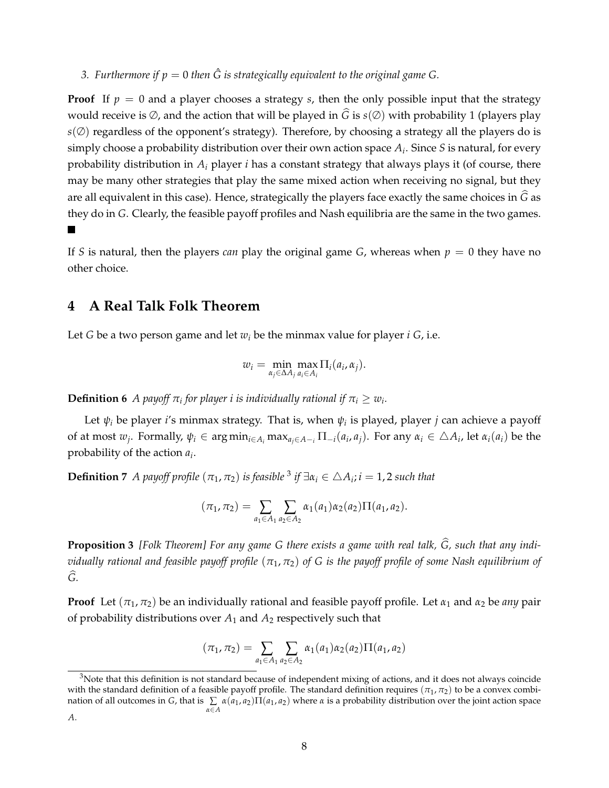*3. Furthermore if*  $p = 0$  *then*  $\hat{G}$  *is strategically equivalent to the original game G.* 

**Proof** If  $p = 0$  and a player chooses a strategy *s*, then the only possible input that the strategy would receive is  $\emptyset$ , and the action that will be played in  $\widehat{G}$  is  $s(\emptyset)$  with probability 1 (players play  $s(\emptyset)$  regardless of the opponent's strategy). Therefore, by choosing a strategy all the players do is simply choose a probability distribution over their own action space *Ai*. Since *S* is natural, for every probability distribution in *Ai* player *i* has a constant strategy that always plays it (of course, there may be many other strategies that play the same mixed action when receiving no signal, but they are all equivalent in this case). Hence, strategically the players face exactly the same choices in *G* as they do in *G*. Clearly, the feasible payoff profiles and Nash equilibria are the same in the two games.  $\overline{\phantom{a}}$ 

If *S* is natural, then the players *can* play the original game *G*, whereas when  $p = 0$  they have no other choice.

# **4 A Real Talk Folk Theorem**

Let *G* be a two person game and let  $w_i$  be the minmax value for player  $i$  *G*, i.e.

$$
w_i = \min_{\alpha_j \in \Delta A_j} \max_{a_i \in A_i} \Pi_i(a_i, \alpha_j).
$$

**Definition 6** *A payoff*  $\pi$ *i* for player *i* is individually rational if  $\pi$ <sup>*i*</sup>  $\geq w$ <sup>*i*</sup>.

Let  $\psi_i$  be player *i*'s minmax strategy. That is, when  $\psi_i$  is played, player *j* can achieve a payoff of at most  $w_j$ . Formally,  $\psi_i \in \arg\min_{i \in A_i} \max_{a_i \in A_{-i}} \Pi_{-i}(a_i, a_j)$ . For any  $\alpha_i \in \Delta A_i$ , let  $\alpha_i(a_i)$  be the probability of the action *ai*.

**Definition 7** *A payoff profile*  $(\pi_1, \pi_2)$  *is feasible* <sup>3</sup> *if*  $\exists \alpha_i \in \triangle A_i$ ; *i* = 1, 2 *such that* 

$$
(\pi_1, \pi_2) = \sum_{a_1 \in A_1} \sum_{a_2 \in A_2} \alpha_1(a_1) \alpha_2(a_2) \Pi(a_1, a_2).
$$

**Proposition 3** *[Folk Theorem] For any game G there exists a game with real talk, G, such that any indi-* # *vidually rational and feasible payoff profile*  $(\pi_1, \pi_2)$  *of* G *is the payoff profile of some Nash equilibrium of*  $\widehat{G}$ .

**Proof** Let  $(\pi_1, \pi_2)$  be an individually rational and feasible payoff profile. Let  $\alpha_1$  and  $\alpha_2$  be *any* pair of probability distributions over  $A_1$  and  $A_2$  respectively such that

$$
(\pi_1, \pi_2) = \sum_{a_1 \in A_1} \sum_{a_2 \in A_2} \alpha_1(a_1) \alpha_2(a_2) \Pi(a_1, a_2)
$$

 $3$ Note that this definition is not standard because of independent mixing of actions, and it does not always coincide with the standard definition of a feasible payoff profile. The standard definition requires ( $\pi_1$ ,  $\pi_2$ ) to be a convex combination of all outcomes in *G*, that is ∑ *α*∈*A α*(*a*1, *a*2)Π(*a*1, *a*2) where *α* is a probability distribution over the joint action space *A*.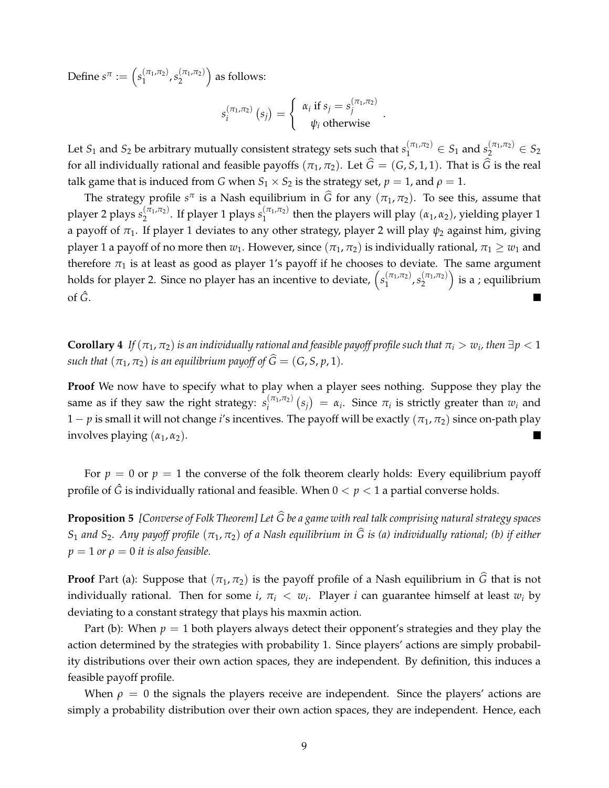Define  $s^{\pi} := \left(s_1^{(\pi_1, \pi_2)}, s_2^{(\pi_1, \pi_2)}\right)$  $\binom{(\pi_1,\pi_2)}{2}$  as follows:

$$
s_i^{(\pi_1,\pi_2)}(s_j) = \begin{cases} \alpha_i \text{ if } s_j = s_j^{(\pi_1,\pi_2)} \\ \psi_i \text{ otherwise} \end{cases}.
$$

Let  $S_1$  and  $S_2$  be arbitrary mutually consistent strategy sets such that  $s_1^{(\pi_1,\pi_2)} \in S_1$  and  $s_2^{(\pi_1,\pi_2)} \in S_2$ for all individually rational and feasible payoffs  $(\pi_1, \pi_2)$ . Let  $\hat{G} = (G, S, 1, 1)$ . That is  $\hat{G}$  is the real talk game that is induced from *G* when  $S_1 \times S_2$  is the strategy set,  $p = 1$ , and  $p = 1$ .

The strategy profile  $s^{\pi}$  is a Nash equilibrium in  $\hat{G}$  for any  $(\pi_1, \pi_2)$ . To see this, assume that player 2 plays  $s_2^{(\pi_1,\pi_2)}$ . If player 1 plays  $s_1^{(\pi_1,\pi_2)}$  then the players will play (*α*<sub>1</sub>, *α*<sub>2</sub>), yielding player 1 a payoff of  $\pi_1$ . If player 1 deviates to any other strategy, player 2 will play  $\psi_2$  against him, giving player 1 a payoff of no more then  $w_1$ . However, since  $(\pi_1, \pi_2)$  is individually rational,  $\pi_1 \geq w_1$  and therefore  $\pi_1$  is at least as good as player 1's payoff if he chooses to deviate. The same argument holds for player 2. Since no player has an incentive to deviate,  $(s_1^{(\pi_1,\pi_2)}, s_2^{(\pi_1,\pi_2)})$  $\left(\begin{smallmatrix} (\pi_1,\pi_2) \ 2 \end{smallmatrix}\right)$  is a ; equilibrium of *G*ˆ.

**Corollary 4** *If*  $(\pi_1, \pi_2)$  *is an individually rational and feasible payoff profile such that*  $\pi_i > w_i$ , then  $\exists p < 1$ *such that*  $(\pi_1, \pi_2)$  *is an equilibrium payoff of*  $\widehat{G} = (G, S, p, 1)$ *.* 

**Proof** We now have to specify what to play when a player sees nothing. Suppose they play the same as if they saw the right strategy:  $s_i^{(\pi_1, \pi_2)}$  $\binom{(\pi_1, \pi_2)}{i}$   $(s_j) = \alpha_i$ . Since  $\pi_i$  is strictly greater than  $w_i$  and 1 − *p* is small it will not change *i*'s incentives. The payoff will be exactly  $(\pi_1, \pi_2)$  since on-path play involves playing  $(\alpha_1, \alpha_2)$ .

For  $p = 0$  or  $p = 1$  the converse of the folk theorem clearly holds: Every equilibrium payoff profile of  $\hat{G}$  is individually rational and feasible. When  $0 < p < 1$  a partial converse holds.

**Proposition 5** *[Converse of Folk Theorem] Let G be a game with real talk comprising natural strategy spaces* # *S*<sup>1</sup> *and S*2*. Any payoff profile* (*π*1, *π*2) *of a Nash equilibrium in G is (a) individually rational; (b) if either* #  $p = 1$  *or*  $\rho = 0$  *it is also feasible.* 

**Proof** Part (a): Suppose that  $(\pi_1, \pi_2)$  is the payoff profile of a Nash equilibrium in  $\widehat{G}$  that is not individually rational. Then for some *i*,  $\pi_i < w_i$ . Player *i* can guarantee himself at least  $w_i$  by deviating to a constant strategy that plays his maxmin action.

Part (b): When  $p = 1$  both players always detect their opponent's strategies and they play the action determined by the strategies with probability 1. Since players' actions are simply probability distributions over their own action spaces, they are independent. By definition, this induces a feasible payoff profile.

When  $\rho = 0$  the signals the players receive are independent. Since the players' actions are simply a probability distribution over their own action spaces, they are independent. Hence, each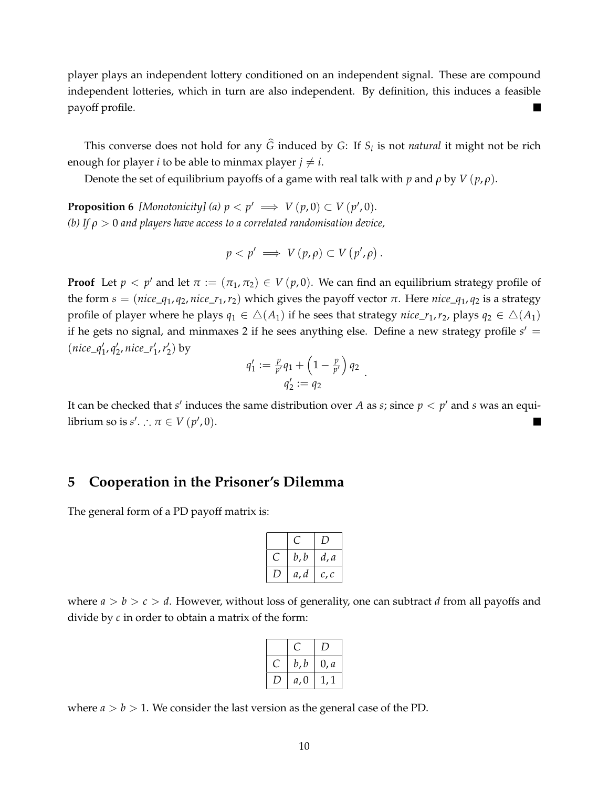player plays an independent lottery conditioned on an independent signal. These are compound independent lotteries, which in turn are also independent. By definition, this induces a feasible payoff profile.  $\blacksquare$ 

This converse does not hold for any  $\widehat{G}$  induced by *G*: If  $S_i$  is not *natural* it might not be rich enough for player *i* to be able to minmax player  $j \neq i$ .

Denote the set of equilibrium payoffs of a game with real talk with *p* and  $\rho$  by  $V(p,\rho)$ .

**Proposition 6** *[Monotonicity]* (a)  $p < p' \implies V(p,0) \subset V(p',0)$ *. (b) If ρ >* 0 *and players have access to a correlated randomisation device,*

$$
p < p' \implies V(p, \rho) \subset V(p', \rho).
$$

**Proof** Let  $p < p'$  and let  $\pi := (\pi_1, \pi_2) \in V(p, 0)$ . We can find an equilibrium strategy profile of the form *s* = (*nice*\_*q*<sub>1</sub>, *q*<sub>2</sub>, *nice*\_*r*<sub>1</sub>, *r*<sub>2</sub>) which gives the payoff vector *π*. Here *nice*\_*q*<sub>1</sub>, *q*<sub>2</sub> is a strategy profile of player where he plays  $q_1 \in \Delta(A_1)$  if he sees that strategy *nice\_r*<sub>1</sub>,*r*<sub>2</sub>, plays  $q_2 \in \Delta(A_1)$ if he gets no signal, and minmaxes 2 if he sees anything else. Define a new strategy profile *s*/ = (*nice*\_*q*/ <sup>1</sup>, *q*/ <sup>2</sup>, *nice*\_*r*/ 1,*r*/ <sup>2</sup>) by

$$
q_1' := \frac{p}{p'} q_1 + \left(1 - \frac{p}{p'}\right) q_2 q_2' := q_2
$$

.

It can be checked that *s'* induces the same distribution over *A* as *s*; since  $p < p'$  and *s* was an equilibrium so is  $s'$ . ∴  $\pi \in V(p',0)$ .

### **5 Cooperation in the Prisoner's Dilemma**

The general form of a PD payoff matrix is:

| b, b | d, a |
|------|------|
| a, d | c, c |

where *a > b > c > d*. However, without loss of generality, one can subtract *d* from all payoffs and divide by *c* in order to obtain a matrix of the form:

| b, b | 0, a |
|------|------|
| a, 0 |      |

where  $a > b > 1$ . We consider the last version as the general case of the PD.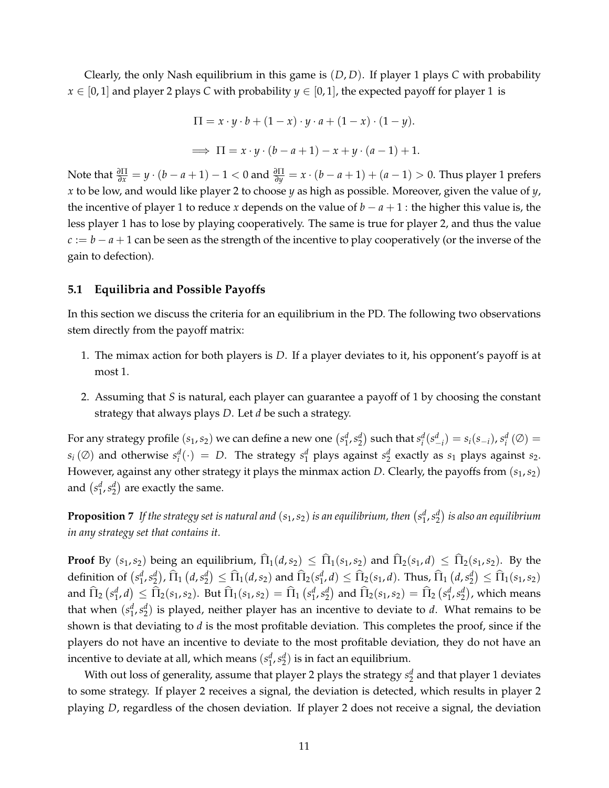Clearly, the only Nash equilibrium in this game is (*D*, *D*). If player 1 plays *C* with probability *x* ∈ [0, 1] and player 2 plays *C* with probability *y* ∈ [0, 1], the expected payoff for player 1 is

$$
\Pi = x \cdot y \cdot b + (1 - x) \cdot y \cdot a + (1 - x) \cdot (1 - y).
$$
  
\n
$$
\implies \Pi = x \cdot y \cdot (b - a + 1) - x + y \cdot (a - 1) + 1.
$$

Note that *<sup>∂</sup>*<sup>Π</sup> *<sup>∂</sup><sup>x</sup>* <sup>=</sup> *<sup>y</sup>* · (*<sup>b</sup>* <sup>−</sup> *<sup>a</sup>* <sup>+</sup> <sup>1</sup>) <sup>−</sup> <sup>1</sup> *<sup>&</sup>lt;* 0 and *<sup>∂</sup>*<sup>Π</sup> *<sup>∂</sup><sup>y</sup>* = *x* · (*b* − *a* + 1) + (*a* − 1) *>* 0. Thus player 1 prefers *x* to be low, and would like player 2 to choose *y* as high as possible. Moreover, given the value of *y*, the incentive of player 1 to reduce *x* depends on the value of  $b - a + 1$  : the higher this value is, the less player 1 has to lose by playing cooperatively. The same is true for player 2, and thus the value *c* := *b* − *a* + 1 can be seen as the strength of the incentive to play cooperatively (or the inverse of the gain to defection).

#### **5.1 Equilibria and Possible Payoffs**

In this section we discuss the criteria for an equilibrium in the PD. The following two observations stem directly from the payoff matrix:

- 1. The mimax action for both players is *D*. If a player deviates to it, his opponent's payoff is at most 1.
- 2. Assuming that *S* is natural, each player can guarantee a payoff of 1 by choosing the constant strategy that always plays *D*. Let *d* be such a strategy.

For any strategy profile  $(s_1,s_2)$  we can define a new one  $(s_1^d,s_2^d)$  such that  $s_i^d(s_{-i}^d) = s_i(s_{-i}), s_i^d(\emptyset) =$  $s_i(\emptyset)$  and otherwise  $s_i^d(\cdot) = D$ . The strategy  $s_1^d$  plays against  $s_2^d$  exactly as  $s_1$  plays against  $s_2$ . However, against any other strategy it plays the minmax action *D*. Clearly, the payoffs from (*s*1,*s*2) and  $(s_1^d, s_2^d)$  are exactly the same.

**Proposition**  $7$  If the strategy set is natural and  $(s_1,s_2)$  is an equilibrium, then  $(s_1^d,s_2^d)$  is also an equilibrium *in any strategy set that contains it.*

**Proof** By  $(s_1, s_2)$  being an equilibrium,  $\widehat{\Pi}_1(d, s_2) \leq \widehat{\Pi}_1(s_1, s_2)$  and  $\widehat{\Pi}_2(s_1, d) \leq \widehat{\Pi}_2(s_1, s_2)$ . By the definition of  $(s_1^d, s_2^d)$ ,  $\widehat{\Pi}_1(d, s_2^d) \leq \widehat{\Pi}_1(d, s_2)$  and  $\widehat{\Pi}_2(s_1^d, d) \leq \widehat{\Pi}_2(s_1, d)$ . Thus,  $\widehat{\Pi}_1(d, s_2^d) \leq \widehat{\Pi}_1(s_1, s_2)$ and  $\widehat{\Pi}_2\left(s_1^d,d\right) \leq \widehat{\Pi}_2(s_1,s_2)$ . But  $\widehat{\Pi}_1(s_1,s_2) = \widehat{\Pi}_1\left(s_1^d,s_2^d\right)$  and  $\widehat{\Pi}_2(s_1,s_2) = \widehat{\Pi}_2\left(s_1^d,s_2^d\right)$ , which means that when  $(s_1^d, s_2^d)$  is played, neither player has an incentive to deviate to *d*. What remains to be shown is that deviating to *d* is the most profitable deviation. This completes the proof, since if the players do not have an incentive to deviate to the most profitable deviation, they do not have an incentive to deviate at all, which means  $(s_1^d, s_2^d)$  is in fact an equilibrium.

With out loss of generality, assume that player 2 plays the strategy  $s_2^d$  and that player 1 deviates to some strategy. If player 2 receives a signal, the deviation is detected, which results in player 2 playing *D*, regardless of the chosen deviation. If player 2 does not receive a signal, the deviation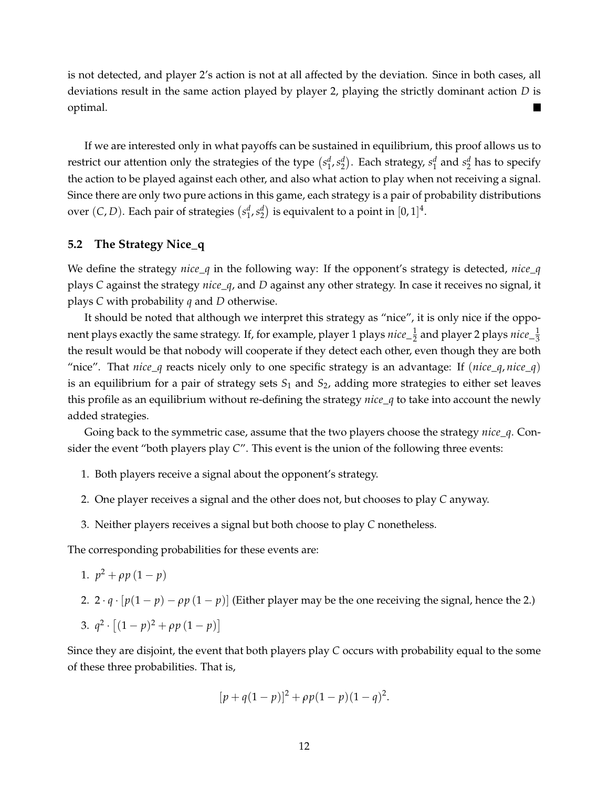is not detected, and player 2's action is not at all affected by the deviation. Since in both cases, all deviations result in the same action played by player 2, playing the strictly dominant action *D* is optimal.  $\blacksquare$ 

If we are interested only in what payoffs can be sustained in equilibrium, this proof allows us to restrict our attention only the strategies of the type  $(s_1^d, s_2^d)$ . Each strategy,  $s_1^d$  and  $s_2^d$  has to specify the action to be played against each other, and also what action to play when not receiving a signal. Since there are only two pure actions in this game, each strategy is a pair of probability distributions over  $(C, D)$ . Each pair of strategies  $\left(s_1^d, s_2^d\right)$  is equivalent to a point in  $[0, 1]^4$ .

#### **5.2 The Strategy Nice\_q**

We define the strategy *nice*\_*q* in the following way: If the opponent's strategy is detected, *nice*\_*q* plays *C* against the strategy *nice*\_*q*, and *D* against any other strategy. In case it receives no signal, it plays *C* with probability *q* and *D* otherwise.

It should be noted that although we interpret this strategy as "nice", it is only nice if the opponent plays exactly the same strategy. If, for example, player 1 plays  $nice\_{1\over 2}$  and player 2 plays  $nice\_{1\over 3}$ the result would be that nobody will cooperate if they detect each other, even though they are both "nice". That *nice\_q* reacts nicely only to one specific strategy is an advantage: If (*nice\_q*, *nice\_q*) is an equilibrium for a pair of strategy sets  $S_1$  and  $S_2$ , adding more strategies to either set leaves this profile as an equilibrium without re-defining the strategy *nice*\_*q* to take into account the newly added strategies.

Going back to the symmetric case, assume that the two players choose the strategy *nice*\_*q*. Consider the event "both players play *C*". This event is the union of the following three events:

- 1. Both players receive a signal about the opponent's strategy.
- 2. One player receives a signal and the other does not, but chooses to play *C* anyway.
- 3. Neither players receives a signal but both choose to play *C* nonetheless.

The corresponding probabilities for these events are:

- 1.  $p^2 + \rho p (1-p)$
- 2.  $2 \cdot q \cdot [p(1-p) \rho p(1-p)]$  (Either player may be the one receiving the signal, hence the 2.)

3. 
$$
q^2 \cdot [(1-p)^2 + \rho p (1-p)]
$$

Since they are disjoint, the event that both players play *C* occurs with probability equal to the some of these three probabilities. That is,

$$
[p+q(1-p)]^2 + \rho p(1-p)(1-q)^2.
$$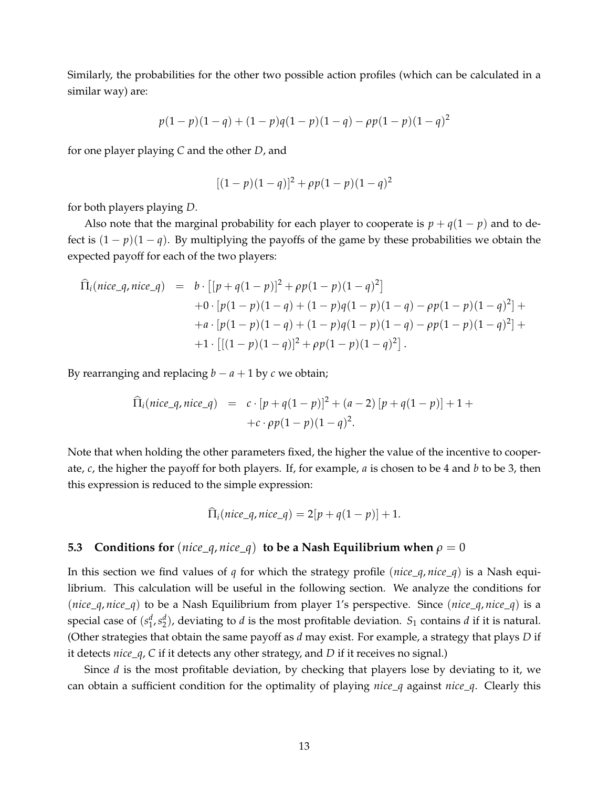Similarly, the probabilities for the other two possible action profiles (which can be calculated in a similar way) are:

$$
p(1-p)(1-q) + (1-p)q(1-p)(1-q) - \rho p(1-p)(1-q)^2
$$

for one player playing *C* and the other *D*, and

$$
[(1-p)(1-q)]^2 + \rho p(1-p)(1-q)^2
$$

for both players playing *D*.

Also note that the marginal probability for each player to cooperate is  $p + q(1 - p)$  and to defect is  $(1 - p)(1 - q)$ . By multiplying the payoffs of the game by these probabilities we obtain the expected payoff for each of the two players:

$$
\begin{aligned}\n\widehat{\Pi}_i(nice\_q, nice\_q) &= b \cdot \left[ [p + q(1-p)]^2 + \rho p(1-p)(1-q)^2 \right] \\
&\quad + 0 \cdot \left[ p(1-p)(1-q) + (1-p)q(1-p)(1-q) - \rho p(1-p)(1-q)^2 \right] + \\
&\quad + a \cdot \left[ p(1-p)(1-q) + (1-p)q(1-p)(1-q) - \rho p(1-p)(1-q)^2 \right] + \\
&\quad + 1 \cdot \left[ \left[ (1-p)(1-q) \right]^2 + \rho p(1-p)(1-q)^2 \right].\n\end{aligned}
$$

By rearranging and replacing  $b - a + 1$  by  $c$  we obtain;

$$
\begin{array}{rcl}\n\widehat{\Pi}_i(nice\_q, nice\_q) & = & c \cdot [p + q(1-p)]^2 + (a-2) \left[ p + q(1-p) \right] + 1 + \\
& + c \cdot \rho p(1-p)(1-q)^2.\n\end{array}
$$

Note that when holding the other parameters fixed, the higher the value of the incentive to cooperate, *c*, the higher the payoff for both players. If, for example, *a* is chosen to be 4 and *b* to be 3, then this expression is reduced to the simple expression:

$$
\widehat{\Pi}_i(nice_q, nice_q) = 2[p+q(1-p)] + 1.
$$

#### **5.3 Conditions for** (*nice*  $q$ , *nice*  $q$ ) **to be a Nash Equilibrium when**  $\rho = 0$

In this section we find values of *q* for which the strategy profile (*nice*\_*q*, *nice*\_*q*) is a Nash equilibrium. This calculation will be useful in the following section. We analyze the conditions for (*nice*\_*q*, *nice*\_*q*) to be a Nash Equilibrium from player 1's perspective. Since (*nice*\_*q*, *nice*\_*q*) is a special case of  $(s_1^d, s_2^d)$ , deviating to *d* is the most profitable deviation.  $S_1$  contains *d* if it is natural. (Other strategies that obtain the same payoff as *d* may exist. For example, a strategy that plays *D* if it detects *nice*\_*q*, *C* if it detects any other strategy, and *D* if it receives no signal.)

Since *d* is the most profitable deviation, by checking that players lose by deviating to it, we can obtain a sufficient condition for the optimality of playing *nice*\_*q* against *nice*\_*q*. Clearly this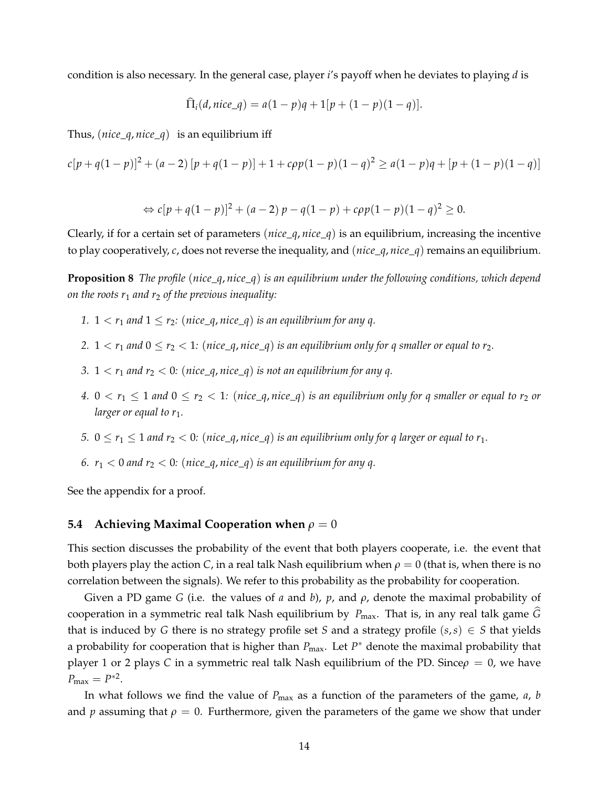condition is also necessary. In the general case, player *i*'s payoff when he deviates to playing *d* is

$$
\Pi_i(d, nice\_q) = a(1-p)q + 1[p + (1-p)(1-q)].
$$

Thus, (*nice*\_*q*, *nice*\_*q*) is an equilibrium iff

$$
c[p+q(1-p)]^2 + (a-2)[p+q(1-p)] + 1 + c\rho p(1-p)(1-q)^2 \ge a(1-p)q + [p+(1-p)(1-q)]
$$

$$
\Leftrightarrow c[p+q(1-p)]^2 + (a-2)p - q(1-p) + cpp(1-p)(1-q)^2 \ge 0.
$$

Clearly, if for a certain set of parameters (*nice*\_*q*, *nice*\_*q*) is an equilibrium, increasing the incentive to play cooperatively, *c*, does not reverse the inequality, and (*nice*\_*q*, *nice*\_*q*) remains an equilibrium.

**Proposition 8** *The profile* (*nice\_q*, *nice\_q*) *is an equilibrium under the following conditions, which depend on the roots r*<sup>1</sup> *and r*<sup>2</sup> *of the previous inequality:*

- *1.*  $1 < r_1$  *and*  $1 \leq r_2$ : (*nice\_q*, *nice\_q*) *is an equilibrium for any q.*
- 2.  $1 < r_1$  *and*  $0 \le r_2 < 1$ : (*nice\_q*, *nice\_q*) *is an equilibrium only for q smaller or equal to r<sub>2</sub>.*
- *3.*  $1 < r_1$  *and*  $r_2 < 0$ *:* (*nice\_q, nice\_q*) *is not an equilibrium for any q.*
- *4.*  $0 < r_1 \leq 1$  and  $0 \leq r_2 < 1$ : (nice\_q, nice\_q) is an equilibrium only for q smaller or equal to  $r_2$  or *larger or equal to r*<sub>1</sub>*.*
- *5.*  $0 \le r_1 \le 1$  *and*  $r_2 < 0$ : (*nice\_q*, *nice\_q*) *is an equilibrium only for q larger or equal to*  $r_1$ *.*
- *6.*  $r_1 < 0$  and  $r_2 < 0$ : (nice\_q, nice\_q) is an equilibrium for any q.

See the appendix for a proof.

#### **5.4 Achieving Maximal Cooperation when**  $\rho = 0$

This section discusses the probability of the event that both players cooperate, i.e. the event that both players play the action *C*, in a real talk Nash equilibrium when  $\rho = 0$  (that is, when there is no correlation between the signals). We refer to this probability as the probability for cooperation.

Given a PD game *G* (i.e. the values of *a* and *b*), *p*, and *ρ*, denote the maximal probability of cooperation in a symmetric real talk Nash equilibrium by  $P_{\text{max}}$ . That is, in any real talk game  $\widehat{G}$ that is induced by *G* there is no strategy profile set *S* and a strategy profile  $(s, s) \in S$  that yields a probability for cooperation that is higher than  $P_{\text{max}}$ . Let  $P^*$  denote the maximal probability that player 1 or 2 plays *C* in a symmetric real talk Nash equilibrium of the PD. Since*ρ* = 0, we have  $P_{\text{max}} = P^{*2}$ .

In what follows we find the value of  $P_{\text{max}}$  as a function of the parameters of the game, *a*, *b* and *p* assuming that  $\rho = 0$ . Furthermore, given the parameters of the game we show that under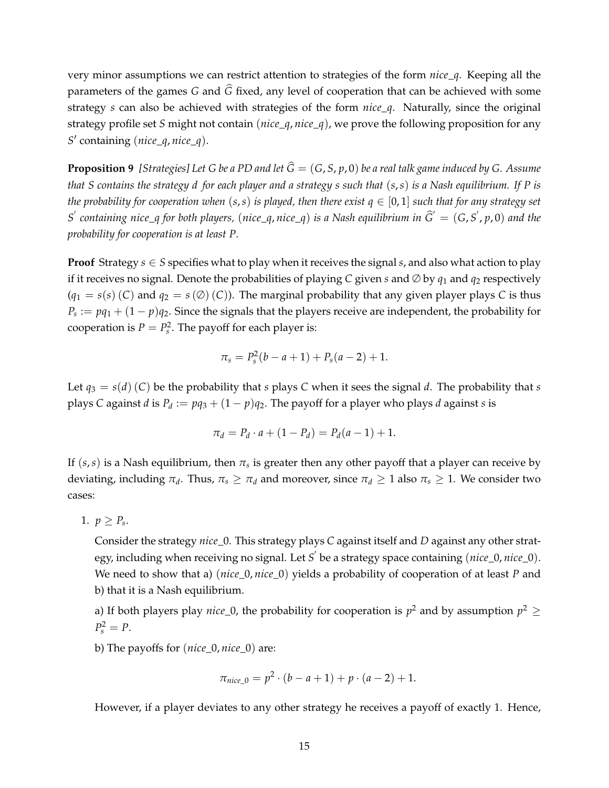very minor assumptions we can restrict attention to strategies of the form *nice*\_*q*. Keeping all the parameters of the games  $G$  and  $\widehat{G}$  fixed, any level of cooperation that can be achieved with some strategy *s* can also be achieved with strategies of the form *nice*\_*q*. Naturally, since the original strategy profile set *S* might not contain (*nice*\_*q*, *nice*\_*q*), we prove the following proposition for any *S*/ containing (*nice*\_*q*, *nice*\_*q*).

**Proposition 9** *[Strategies] Let G be a PD and let*  $\hat{G} = (G, S, p, 0)$  *be a real talk game induced by G. Assume that S contains the strategy d for each player and a strategy s such that* (*s*,*s*) *is a Nash equilibrium. If P is the probability for cooperation when*  $(s, s)$  *is played, then there exist*  $q \in [0, 1]$  *such that for any strategy set*  $S'$  containing nice\_q for both players, (nice\_q,nice\_q) is a Nash equilibrium in  $\widehat{G}'=(G, S', p, 0)$  and the *probability for cooperation is at least P.*

**Proof** Strategy  $s \in S$  specifies what to play when it receives the signal  $s$ , and also what action to play if it receives no signal. Denote the probabilities of playing *C* given *s* and  $\emptyset$  by  $q_1$  and  $q_2$  respectively  $(q_1 = s(s)(C)$  and  $q_2 = s(\emptyset)(C)$ . The marginal probability that any given player plays *C* is thus  $P_s := pq_1 + (1 - p)q_2$ . Since the signals that the players receive are independent, the probability for cooperation is  $P = P_s^2$ . The payoff for each player is:

$$
\pi_s = P_s^2(b - a + 1) + P_s(a - 2) + 1.
$$

Let  $q_3 = s(d)(C)$  be the probability that *s* plays *C* when it sees the signal *d*. The probability that *s* plays *C* against *d* is  $P_d := pq_3 + (1 - p)q_2$ . The payoff for a player who plays *d* against *s* is

$$
\pi_d = P_d \cdot a + (1 - P_d) = P_d(a - 1) + 1.
$$

If  $(s, s)$  is a Nash equilibrium, then  $\pi_s$  is greater then any other payoff that a player can receive by deviating, including  $\pi_d$ . Thus,  $\pi_s \geq \pi_d$  and moreover, since  $\pi_d \geq 1$  also  $\pi_s \geq 1$ . We consider two cases:

$$
1. \, p \geq P_s.
$$

Consider the strategy *nice*\_0. This strategy plays *C* against itself and *D* against any other strategy, including when receiving no signal. Let *S* / be a strategy space containing (*nice*\_0, *nice*\_0). We need to show that a) (*nice*\_0, *nice*\_0) yields a probability of cooperation of at least *P* and b) that it is a Nash equilibrium.

a) If both players play *nice*\_0, the probability for cooperation is  $p^2$  and by assumption  $p^2 \ge$  $P_s^2 = P$ .

b) The payoffs for (*nice*\_0, *nice*\_0) are:

$$
\pi_{nice\_0} = p^2 \cdot (b - a + 1) + p \cdot (a - 2) + 1.
$$

However, if a player deviates to any other strategy he receives a payoff of exactly 1. Hence,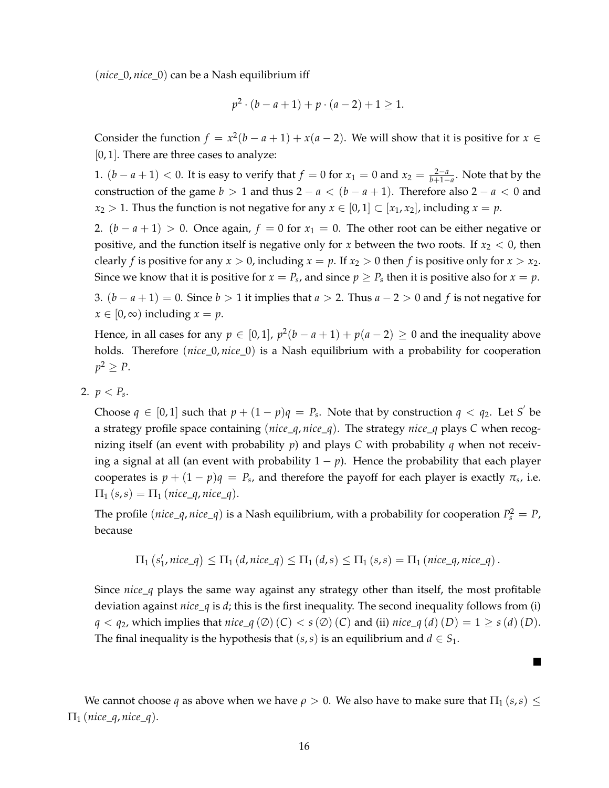(*nice*\_0, *nice*\_0) can be a Nash equilibrium iff

$$
p^2 \cdot (b - a + 1) + p \cdot (a - 2) + 1 \ge 1.
$$

Consider the function  $f = x^2(b - a + 1) + x(a - 2)$ . We will show that it is positive for  $x \in$ [0, 1]. There are three cases to analyze:

1.  $(b - a + 1) < 0$ . It is easy to verify that  $f = 0$  for  $x_1 = 0$  and  $x_2 = \frac{2-a}{b+1-a}$ . Note that by the construction of the game  $b > 1$  and thus  $2 - a < (b - a + 1)$ . Therefore also  $2 - a < 0$  and *x*<sub>2</sub> > 1. Thus the function is not negative for any *x*  $\in$  [0, 1]  $\subset$  [*x*<sub>1</sub>, *x*<sub>2</sub>], including *x* = *p*.

2.  $(b - a + 1) > 0$ . Once again,  $f = 0$  for  $x_1 = 0$ . The other root can be either negative or positive, and the function itself is negative only for *x* between the two roots. If  $x_2 < 0$ , then clearly *f* is positive for any  $x > 0$ , including  $x = p$ . If  $x_2 > 0$  then *f* is positive only for  $x > x_2$ . Since we know that it is positive for  $x = P_s$ , and since  $p \ge P_s$  then it is positive also for  $x = p$ .

3. (*b* − *a* + 1) = 0. Since *b >* 1 it implies that *a >* 2. Thus *a* − 2 *>* 0 and *f* is not negative for  $x \in [0, \infty)$  including  $x = p$ .

Hence, in all cases for any  $p \in [0,1]$ ,  $p^2(b-a+1) + p(a-2) \ge 0$  and the inequality above holds. Therefore (*nice*\_0, *nice*\_0) is a Nash equilibrium with a probability for cooperation  $p^2 \geq P$ .

2.  $p < P_s$ .

Choose  $q \in [0,1]$  such that  $p + (1 - p)q = P_s$ . Note that by construction  $q < q_2$ . Let S' be a strategy profile space containing (*nice*\_*q*, *nice*\_*q*). The strategy *nice*\_*q* plays *C* when recognizing itself (an event with probability *p*) and plays *C* with probability *q* when not receiving a signal at all (an event with probability  $1 - p$ ). Hence the probability that each player cooperates is  $p + (1 - p)q = P_s$ , and therefore the payoff for each player is exactly  $\pi_s$ , i.e.  $\Pi_1(s,s) = \Pi_1(nice_q, nice_q).$ 

The profile  $(nice\_q, nice\_q)$  is a Nash equilibrium, with a probability for cooperation  $P_s^2 = P$ , because

$$
\Pi_1\left(s'_1, \text{nice\_q}\right) \leq \Pi_1\left(d, \text{nice\_q}\right) \leq \Pi_1\left(d, s\right) \leq \Pi_1\left(s, s\right) = \Pi_1\left(\text{nice\_q}, \text{nice\_q}\right).
$$

Since *nice*\_*q* plays the same way against any strategy other than itself, the most profitable deviation against *nice*\_*q* is *d*; this is the first inequality. The second inequality follows from (i) *q* < *q*<sub>2</sub>, which implies that *nice*\_*q* (∅) (C) < *s* (∅) (C) and (ii) *nice*\_*q* (*d*) (*D*) = 1 ≥ *s* (*d*) (*D*). The final inequality is the hypothesis that  $(s, s)$  is an equilibrium and  $d \in S_1$ .

 $\blacksquare$ 

We cannot choose *q* as above when we have  $\rho > 0$ . We also have to make sure that  $\Pi_1(s,s) \leq$  $\Pi_1$  (*nice\_q*, *nice\_q*).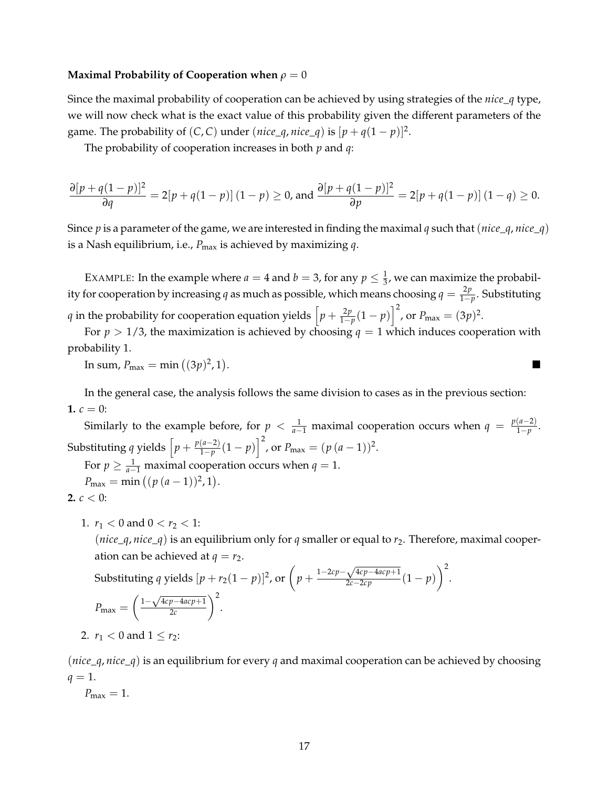#### **Maximal Probability of Cooperation when** *ρ* = 0

Since the maximal probability of cooperation can be achieved by using strategies of the *nice*\_*q* type, we will now check what is the exact value of this probability given the different parameters of the game. The probability of  $(C, C)$  under  $(nice_q, nice_q)$  is  $[p + q(1 - p)]^2$ .

The probability of cooperation increases in both *p* and *q*:

$$
\frac{\partial [p+q(1-p)]^2}{\partial q} = 2[p+q(1-p)] (1-p) \ge 0, \text{ and } \frac{\partial [p+q(1-p)]^2}{\partial p} = 2[p+q(1-p)] (1-q) \ge 0.
$$

Since *p* is a parameter of the game, we are interested in finding the maximal *q* such that(*nice*\_*q*, *nice*\_*q*) is a Nash equilibrium, i.e., *P*max is achieved by maximizing *q*.

EXAMPLE: In the example where  $a = 4$  and  $b = 3$ , for any  $p \leq \frac{1}{3}$ , we can maximize the probability for cooperation by increasing *q* as much as possible, which means choosing  $q = \frac{2p}{1-p}$ . Substituting *q* in the probability for cooperation equation yields  $\left[ p + \frac{2p}{1-p}(1-p) \right]^2$ , or  $P_{\text{max}} = (3p)^2$ .

For  $p > 1/3$ , the maximization is achieved by choosing  $q = 1$  which induces cooperation with probability 1.

In sum,  $P_{\text{max}} = \min ( (3p)^2, 1)$ . The contract of the contract of the contract of the contract of the contract of the contract of the contract<br>The contract of the contract of the contract of the contract of the contract of the contract of the contract o

In the general case, the analysis follows the same division to cases as in the previous section: **1.**  $c = 0$ :

Similarly to the example before, for  $p < \frac{1}{a-1}$  maximal cooperation occurs when  $q = \frac{p(a-2)}{1-p}$ . Substituting *q* yields  $\left[ p + \frac{p(a-2)}{1-p}(1-p) \right]^2$ , or  $P_{\text{max}} = (p(a-1))^2$ . For  $p \ge \frac{1}{a-1}$  maximal cooperation occurs when  $q = 1$ .  $P_{\text{max}} = \min ((p (a-1))^2, 1).$ 

$$
2. \ c < 0:
$$

1.  $r_1 < 0$  and  $0 < r_2 < 1$ :

( $nice_q$ ,  $nice_q$ ) is an equilibrium only for *q* smaller or equal to  $r_2$ . Therefore, maximal cooperation can be achieved at  $q = r_2$ .

Substituting 
$$
q
$$
 yields  $[p + r_2(1 - p)]^2$ , or  $\left(p + \frac{1 - 2cp - \sqrt{4cp - 4acp + 1}}{2c - 2cp}\left(1 - p\right)\right)^2$ .  
\n
$$
P_{\text{max}} = \left(\frac{1 - \sqrt{4cp - 4acp + 1}}{2c}\right)^2.
$$

2. 
$$
r_1 < 0
$$
 and  $1 \le r_2$ :

(*nice*\_*q*, *nice*\_*q*) is an equilibrium for every *q* and maximal cooperation can be achieved by choosing  $q = 1$ .

 $P_{\text{max}} = 1$ .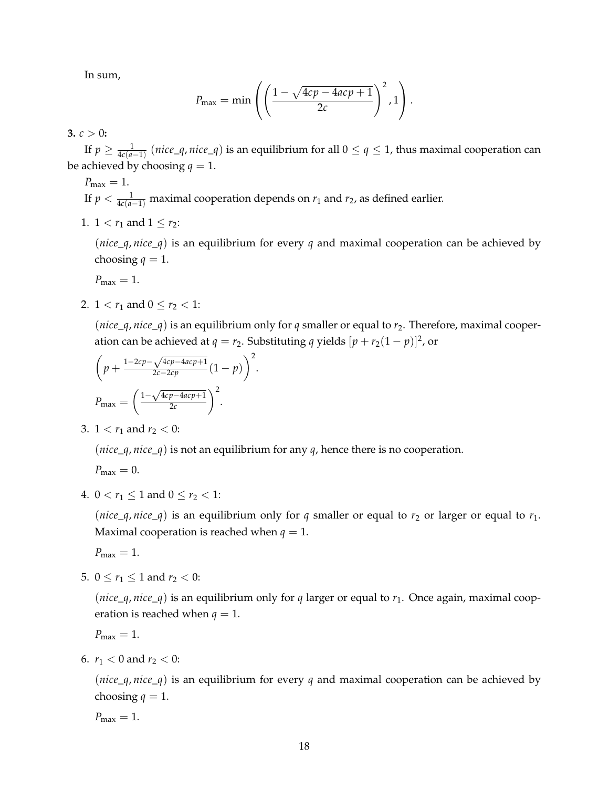In sum,

$$
P_{\max} = \min \left( \left( \frac{1 - \sqrt{4cp - 4acp + 1}}{2c} \right)^2, 1 \right).
$$

**3.**  $c > 0$ :

If  $p \geq \frac{1}{4c(a-1)}$  (*nice\_q*, *nice\_q*) is an equilibrium for all  $0 \leq q \leq 1$ , thus maximal cooperation can be achieved by choosing  $q = 1$ .

$$
P_{\text{max}} = 1.
$$
  
If  $p < \frac{1}{4c(a-1)}$  maximal cooperation depends on  $r_1$  and  $r_2$ , as defined earlier.

1.  $1 < r_1$  and  $1 \le r_2$ :

(*nice*\_*q*, *nice*\_*q*) is an equilibrium for every *q* and maximal cooperation can be achieved by choosing  $q = 1$ .

 $P_{\text{max}} = 1$ .

2.  $1 < r_1$  and  $0 \le r_2 < 1$ :

(*nice*\_*q*, *nice*\_*q*) is an equilibrium only for *q* smaller or equal to *r*<sub>2</sub>. Therefore, maximal cooperation can be achieved at *q* = *r*<sub>2</sub>. Substituting *q* yields  $[p + r_2(1 - p)]^2$ , or

$$
\left(p + \frac{1 - 2cp - \sqrt{4cp - 4acp + 1}}{2c - 2cp} (1 - p)\right)^2.
$$

$$
P_{\text{max}} = \left(\frac{1 - \sqrt{4cp - 4acp + 1}}{2c}\right)^2.
$$

3.  $1 < r_1$  and  $r_2 < 0$ :

(*nice*\_*q*, *nice*\_*q*) is not an equilibrium for any *q*, hence there is no cooperation.

 $P_{\text{max}} = 0.$ 

4.  $0 < r_1 \leq 1$  and  $0 \leq r_2 < 1$ :

(*nice*\_*q*, *nice*\_*q*) is an equilibrium only for *q* smaller or equal to *r*<sub>2</sub> or larger or equal to *r*<sub>1</sub>. Maximal cooperation is reached when  $q = 1$ .

 $P_{\text{max}} = 1$ .

5.  $0 \le r_1 \le 1$  and  $r_2 < 0$ :

(*nice*\_*q*, *nice*\_*q*) is an equilibrium only for *q* larger or equal to  $r_1$ . Once again, maximal cooperation is reached when  $q = 1$ .

 $P_{\text{max}} = 1$ .

6.  $r_1 < 0$  and  $r_2 < 0$ :

(*nice*\_*q*, *nice*\_*q*) is an equilibrium for every *q* and maximal cooperation can be achieved by choosing  $q = 1$ .

 $P_{\text{max}} = 1$ .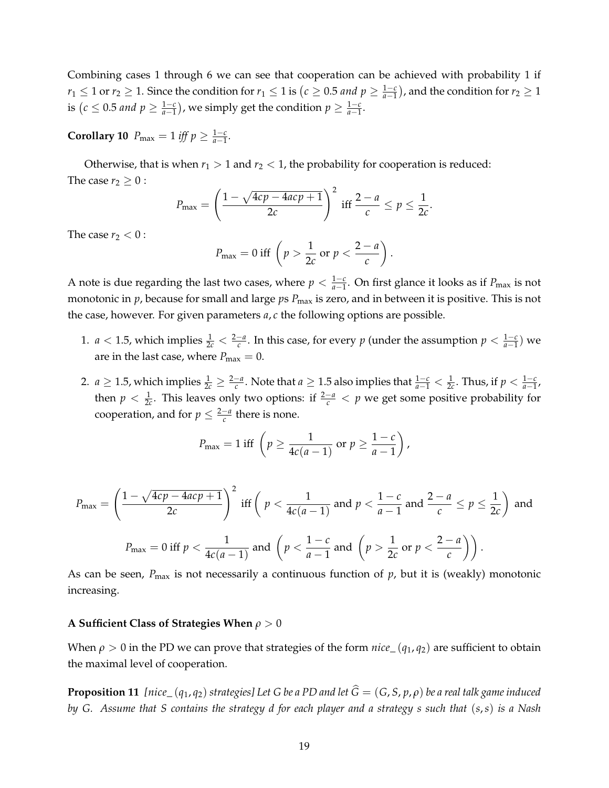Combining cases 1 through 6 we can see that cooperation can be achieved with probability 1 if *r*<sub>1</sub> ≤ 1 or *r*<sub>2</sub> ≥ 1. Since the condition for *r*<sub>1</sub> ≤ 1 is (*c* ≥ 0.5 *and p* ≥  $\frac{1-c}{a-1}$ ), and the condition for  $r_2 \geq 1$ is  $(c \leq 0.5 \text{ and } p \geq \frac{1-c}{a-1})$ ), we simply get the condition  $p \geq \frac{1-c}{a-1}$ .

**Corollary 10**  $P_{\text{max}} = 1$  *iff*  $p \ge \frac{1-c}{a-1}$ *.* 

Otherwise, that is when  $r_1 > 1$  and  $r_2 < 1$ , the probability for cooperation is reduced: The case  $r_2 \geq 0$ :

$$
P_{\max} = \left(\frac{1-\sqrt{4cp-4acp+1}}{2c}\right)^2 \text{ iff } \frac{2-a}{c} \leq p \leq \frac{1}{2c}.
$$

The case  $r_2 < 0$ :

$$
P_{\text{max}} = 0 \text{ iff } \left( p > \frac{1}{2c} \text{ or } p < \frac{2-a}{c} \right).
$$

A note is due regarding the last two cases, where  $p < \frac{1-c}{a-1}$ . On first glance it looks as if  $P_{\text{max}}$  is not monotonic in *p*, because for small and large *ps P*<sub>max</sub> is zero, and in between it is positive. This is not the case, however. For given parameters *a*, *c* the following options are possible.

- 1.  $a < 1.5$ , which implies  $\frac{1}{2c} < \frac{2-a}{c}$ . In this case, for every  $p$  (under the assumption  $p < \frac{1-c}{a-1}$ ) we are in the last case, where  $P_{\text{max}} = 0$ .
- 2. *a* ≥ 1.5, which implies  $\frac{1}{2c}$  ≥  $\frac{2-a}{c}$ . Note that *a* ≥ 1.5 also implies that  $\frac{1-c}{a-1}$  <  $\frac{1}{2c}$ . Thus, if *p* <  $\frac{1-c}{a-1}$ , then  $p < \frac{1}{2c}$ . This leaves only two options: if  $\frac{2-a}{c} < p$  we get some positive probability for cooperation, and for  $p \leq \frac{2-a}{c}$  there is none.

$$
P_{\max} = 1 \text{ iff } \left( p \ge \frac{1}{4c(a-1)} \text{ or } p \ge \frac{1-c}{a-1} \right),
$$

$$
P_{\max} = \left(\frac{1 - \sqrt{4cp - 4acp + 1}}{2c}\right)^2 \text{ iff } \left(p < \frac{1}{4c(a-1)} \text{ and } p < \frac{1 - c}{a-1} \text{ and } \frac{2 - a}{c} \le p \le \frac{1}{2c}\right) \text{ and }
$$
  

$$
P_{\max} = 0 \text{ iff } p < \frac{1}{4c(a-1)} \text{ and } \left(p < \frac{1 - c}{a-1} \text{ and } \left(p > \frac{1}{2c} \text{ or } p < \frac{2 - a}{c}\right)\right).
$$

As can be seen,  $P_{\text{max}}$  is not necessarily a continuous function of  $p$ , but it is (weakly) monotonic increasing.

#### **A Sufficient Class of Strategies When** *ρ >* 0

When  $\rho > 0$  in the PD we can prove that strategies of the form *nice*  $(q_1, q_2)$  are sufficient to obtain the maximal level of cooperation.

**Proposition 11** *[nice<sub>-</sub>* ( $q_1$ , $q_2$ ) *strategies]* Let G be a PD and let  $\hat{G} = (G, S, p, \rho)$  be a real talk game induced *by G. Assume that S contains the strategy d for each player and a strategy s such that* (*s*,*s*) *is a Nash*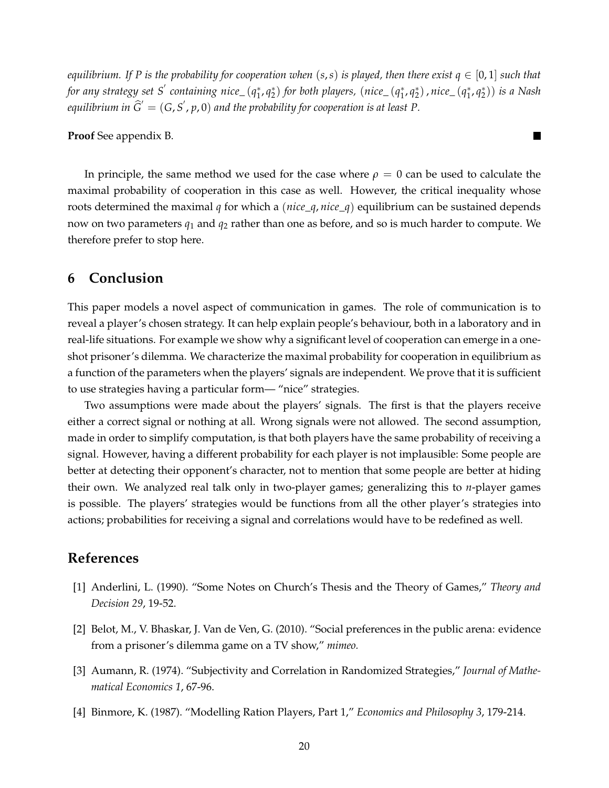*equilibrium.* If P is the probability for cooperation when  $(s, s)$  *is played, then there exist*  $q \in [0, 1]$  *such that for any strategy set S*/ *containing nice\_* (*q*∗ <sup>1</sup>, *q*<sup>∗</sup> <sup>2</sup> ) *for both players,* (*nice\_* (*q*<sup>∗</sup> <sup>1</sup>, *q*<sup>∗</sup> <sup>2</sup> ), *nice\_* (*q*<sup>∗</sup> <sup>1</sup>, *q*<sup>∗</sup> <sup>2</sup> )) *is a Nash* equilibrium in  $\widehat{G}' = (G, S', p, 0)$  and the probability for cooperation is at least P.

 $\blacksquare$ 

**Proof** See appendix B.

In principle, the same method we used for the case where  $\rho = 0$  can be used to calculate the maximal probability of cooperation in this case as well. However, the critical inequality whose roots determined the maximal *q* for which a (*nice*\_*q*, *nice*\_*q*) equilibrium can be sustained depends now on two parameters *q*<sup>1</sup> and *q*<sup>2</sup> rather than one as before, and so is much harder to compute. We therefore prefer to stop here.

# **6 Conclusion**

This paper models a novel aspect of communication in games. The role of communication is to reveal a player's chosen strategy. It can help explain people's behaviour, both in a laboratory and in real-life situations. For example we show why a significant level of cooperation can emerge in a oneshot prisoner's dilemma. We characterize the maximal probability for cooperation in equilibrium as a function of the parameters when the players' signals are independent. We prove that it is sufficient to use strategies having a particular form— "nice" strategies.

Two assumptions were made about the players' signals. The first is that the players receive either a correct signal or nothing at all. Wrong signals were not allowed. The second assumption, made in order to simplify computation, is that both players have the same probability of receiving a signal. However, having a different probability for each player is not implausible: Some people are better at detecting their opponent's character, not to mention that some people are better at hiding their own. We analyzed real talk only in two-player games; generalizing this to *n*-player games is possible. The players' strategies would be functions from all the other player's strategies into actions; probabilities for receiving a signal and correlations would have to be redefined as well.

# **References**

- [1] Anderlini, L. (1990). "Some Notes on Church's Thesis and the Theory of Games," *Theory and Decision 29*, 19-52.
- [2] Belot, M., V. Bhaskar, J. Van de Ven, G. (2010). "Social preferences in the public arena: evidence from a prisoner's dilemma game on a TV show," *mimeo.*
- [3] Aumann, R. (1974). "Subjectivity and Correlation in Randomized Strategies," *Journal of Mathematical Economics 1*, 67-96.
- [4] Binmore, K. (1987). "Modelling Ration Players, Part 1," *Economics and Philosophy 3*, 179-214.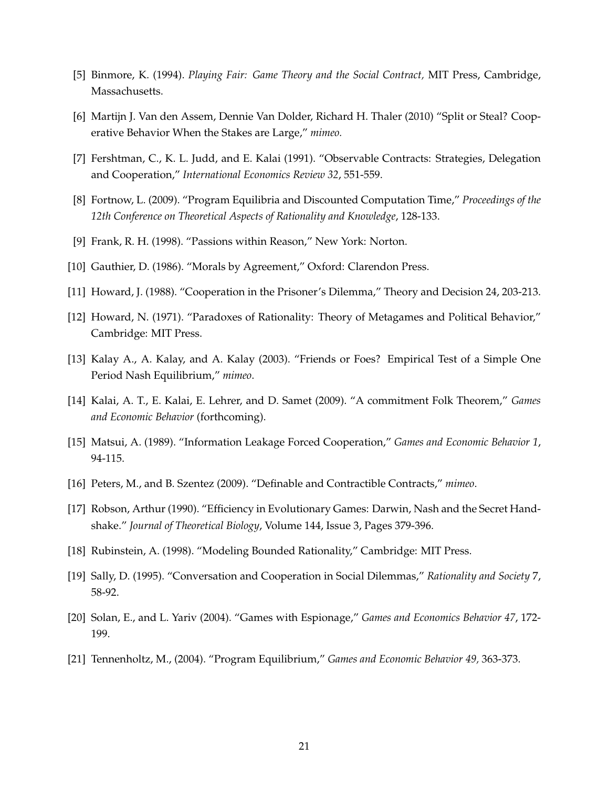- [5] Binmore, K. (1994). *Playing Fair: Game Theory and the Social Contract,* MIT Press, Cambridge, Massachusetts.
- [6] Martijn J. Van den Assem, Dennie Van Dolder, Richard H. Thaler (2010) "Split or Steal? Cooperative Behavior When the Stakes are Large," *mimeo.*
- [7] Fershtman, C., K. L. Judd, and E. Kalai (1991). "Observable Contracts: Strategies, Delegation and Cooperation," *International Economics Review 32*, 551-559.
- [8] Fortnow, L. (2009). "Program Equilibria and Discounted Computation Time," *Proceedings of the 12th Conference on Theoretical Aspects of Rationality and Knowledge*, 128-133.
- [9] Frank, R. H. (1998). "Passions within Reason," New York: Norton.
- [10] Gauthier, D. (1986). "Morals by Agreement," Oxford: Clarendon Press.
- [11] Howard, J. (1988). "Cooperation in the Prisoner's Dilemma," Theory and Decision 24, 203-213.
- [12] Howard, N. (1971). "Paradoxes of Rationality: Theory of Metagames and Political Behavior," Cambridge: MIT Press.
- [13] Kalay A., A. Kalay, and A. Kalay (2003). "Friends or Foes? Empirical Test of a Simple One Period Nash Equilibrium," *mimeo*.
- [14] Kalai, A. T., E. Kalai, E. Lehrer, and D. Samet (2009). "A commitment Folk Theorem," *Games and Economic Behavior* (forthcoming).
- [15] Matsui, A. (1989). "Information Leakage Forced Cooperation," *Games and Economic Behavior 1*, 94-115.
- [16] Peters, M., and B. Szentez (2009). "Definable and Contractible Contracts," *mimeo*.
- [17] Robson, Arthur (1990). "Efficiency in Evolutionary Games: Darwin, Nash and the Secret Handshake." *Journal of Theoretical Biology*, Volume 144, Issue 3, Pages 379-396.
- [18] Rubinstein, A. (1998). "Modeling Bounded Rationality," Cambridge: MIT Press.
- [19] Sally, D. (1995). "Conversation and Cooperation in Social Dilemmas," *Rationality and Society* 7, 58-92.
- [20] Solan, E., and L. Yariv (2004). "Games with Espionage," *Games and Economics Behavior 47*, 172- 199.
- [21] Tennenholtz, M., (2004). "Program Equilibrium," *Games and Economic Behavior 49,* 363-373.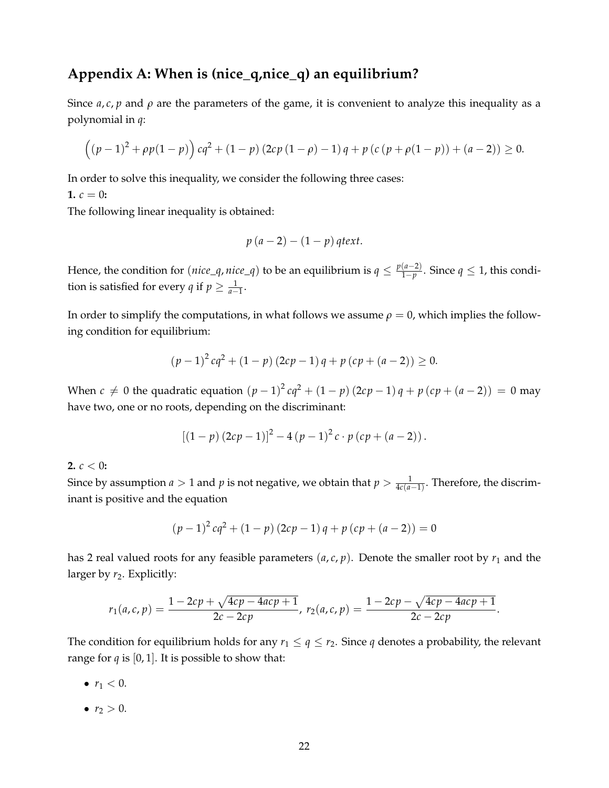# **Appendix A: When is (nice\_q,nice\_q) an equilibrium?**

Since  $a, c, p$  and  $\rho$  are the parameters of the game, it is convenient to analyze this inequality as a polynomial in *q*:

$$
((p-1)^{2} + \rho p(1-p))cq^{2} + (1-p)(2cp(1-\rho)-1)q + p(c(p+\rho(1-p)) + (a-2)) \ge 0.
$$

In order to solve this inequality, we consider the following three cases:

**1.**  $c = 0$ :

The following linear inequality is obtained:

$$
p(a-2)-(1-p) \text{ } qtext.
$$

Hence, the condition for  $(nice\_q, nice\_q)$  to be an equilibrium is  $q \leq \frac{p(a-2)}{1-p}$ . Since  $q \leq 1$ , this condition is satisfied for every *q* if  $p \geq \frac{1}{a-1}$ .

In order to simplify the computations, in what follows we assume  $\rho = 0$ , which implies the following condition for equilibrium:

$$
(p-1)^{2}cq^{2} + (1-p)(2cp-1)q + p(cp + (a-2)) \ge 0.
$$

When *c*  $\neq$  0 the quadratic equation  $(p - 1)^2 cq^2 + (1 - p) (2cp - 1) q + p (cp + (a - 2)) = 0$  may have two, one or no roots, depending on the discriminant:

$$
[(1-p) (2cp-1)]^{2}-4 (p - 1)^{2} c \cdot p (cp + (a - 2)).
$$

#### **2.**  $c < 0$ :

Since by assumption *a* > 1 and *p* is not negative, we obtain that  $p > \frac{1}{4c(a-1)}$ . Therefore, the discriminant is positive and the equation

$$
(p-1)^{2}cq^{2} + (1-p)(2cp-1)q + p(cp + (a-2)) = 0
$$

has 2 real valued roots for any feasible parameters  $(a, c, p)$ . Denote the smaller root by  $r_1$  and the larger by  $r_2$ . Explicitly:

$$
r_1(a,c,p) = \frac{1 - 2cp + \sqrt{4cp - 4acp + 1}}{2c - 2cp}, \ r_2(a,c,p) = \frac{1 - 2cp - \sqrt{4cp - 4acp + 1}}{2c - 2cp}.
$$

The condition for equilibrium holds for any  $r_1 \leq q \leq r_2$ . Since *q* denotes a probability, the relevant range for  $q$  is [0, 1]. It is possible to show that:

- $r_1 < 0$ .
- $r_2 > 0$ .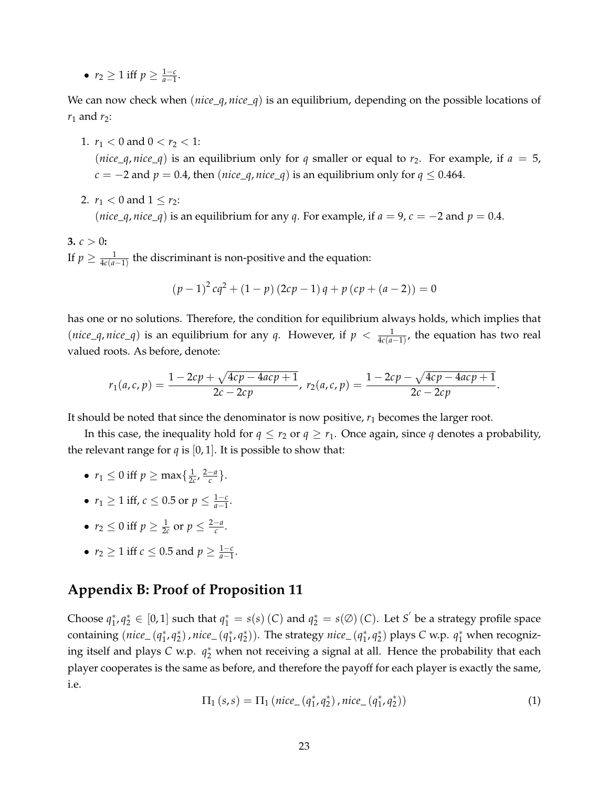•  $r_2 \geq 1$  iff  $p \geq \frac{1-c}{a-1}$ .

We can now check when (*nice*\_*q*, *nice*\_*q*) is an equilibrium, depending on the possible locations of  $r_1$  and  $r_2$ :

- 1.  $r_1 < 0$  and  $0 < r_2 < 1$ : (*nice*<sub> $-q$ </sub>, *nice*<sub> $-q$ </sub>) is an equilibrium only for *q* smaller or equal to *r*<sub>2</sub>. For example, if *a* = 5,  $c = -2$  and  $p = 0.4$ , then (*nice\_q*, *nice\_q*) is an equilibrium only for  $q \le 0.464$ .
- 2.  $r_1 < 0$  and  $1 \le r_2$ :

(*nice*\_*q*, *nice*\_*q*) is an equilibrium for any *q*. For example, if  $a = 9$ ,  $c = -2$  and  $p = 0.4$ .

**3.**  $c > 0$ : If  $p \geq \frac{1}{4c(a-1)}$  the discriminant is non-positive and the equation:

$$
(p-1)^{2}cq^{2} + (1-p)(2cp-1)q + p(cp + (a-2)) = 0
$$

has one or no solutions. Therefore, the condition for equilibrium always holds, which implies that (*nice*<sub> $\alpha$ </sub>, *nice*<sub> $\alpha$ </sub>) is an equilibrium for any *q*. However, if  $p < \frac{1}{4c(a-1)}$ , the equation has two real valued roots. As before, denote:

$$
r_1(a,c,p) = \frac{1 - 2cp + \sqrt{4cp - 4acp + 1}}{2c - 2cp}, \ r_2(a,c,p) = \frac{1 - 2cp - \sqrt{4cp - 4acp + 1}}{2c - 2cp}.
$$

It should be noted that since the denominator is now positive,  $r_1$  becomes the larger root.

In this case, the inequality hold for  $q \le r_2$  or  $q \ge r_1$ . Once again, since q denotes a probability, the relevant range for  $q$  is [0, 1]. It is possible to show that:

- $r_1 \leq 0$  iff  $p \geq \max\{\frac{1}{2c}, \frac{2-a}{c}\}.$
- $r_1 \ge 1$  iff,  $c \le 0.5$  or  $p \le \frac{1-c}{a-1}$ .
- $r_2 \le 0$  iff  $p \ge \frac{1}{2c}$  or  $p \le \frac{2-a}{c}$ .
- $r_2 \ge 1$  iff  $c \le 0.5$  and  $p \ge \frac{1-c}{a-1}$ .

# **Appendix B: Proof of Proposition 11**

Choose  $q_1^*, q_2^* \in [0,1]$  such that  $q_1^* = s(s)$  (*C*) and  $q_2^* = s(\emptyset)$  (*C*). Let *S*<sup>'</sup> be a strategy profile space containing (*nice*\_ (*q*∗ <sup>1</sup>, *q*<sup>∗</sup> <sup>2</sup> ), *nice*\_ (*q*<sup>∗</sup> <sup>1</sup>, *q*<sup>∗</sup> <sup>2</sup> )). The strategy *nice*\_ (*q*<sup>∗</sup> <sup>1</sup>, *q*<sup>∗</sup> <sup>2</sup> ) plays *C* w.p. *q*<sup>∗</sup> <sup>1</sup> when recognizing itself and plays *C* w.p. *q*∗ <sup>2</sup> when not receiving a signal at all. Hence the probability that each player cooperates is the same as before, and therefore the payoff for each player is exactly the same, i.e.

$$
\Pi_1(s,s) = \Pi_1 \left( nice_{-}(q_1^*, q_2^*) \right), nice_{-}(q_1^*, q_2^*) \tag{1}
$$